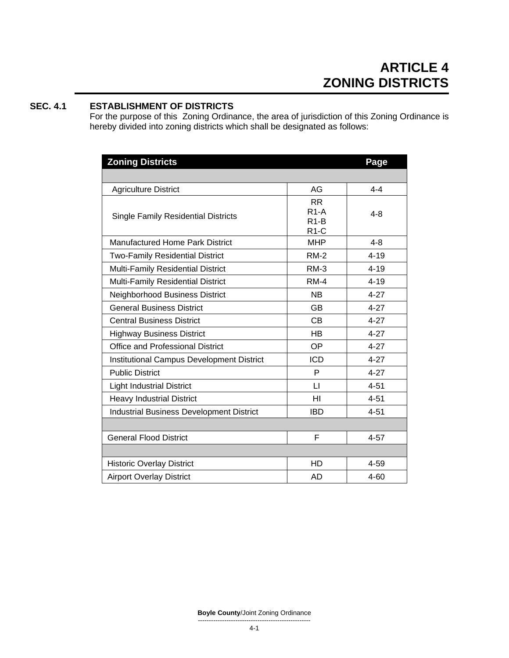# **SEC. 4.1 ESTABLISHMENT OF DISTRICTS**

For the purpose of this Zoning Ordinance, the area of jurisdiction of this Zoning Ordinance is hereby divided into zoning districts which shall be designated as follows:

| <b>Zoning Districts</b>                         |                                         | Page     |
|-------------------------------------------------|-----------------------------------------|----------|
|                                                 |                                         |          |
| <b>Agriculture District</b>                     | AG                                      | $4 - 4$  |
| <b>Single Family Residential Districts</b>      | <b>RR</b><br>$R1-A$<br>$R1-B$<br>$R1-C$ | $4 - 8$  |
| <b>Manufactured Home Park District</b>          | <b>MHP</b>                              | $4 - 8$  |
| <b>Two-Family Residential District</b>          | <b>RM-2</b>                             | $4 - 19$ |
| <b>Multi-Family Residential District</b>        | $RM-3$                                  | $4 - 19$ |
| Multi-Family Residential District               | $RM-4$                                  | $4 - 19$ |
| Neighborhood Business District                  | <b>NB</b>                               | $4 - 27$ |
| <b>General Business District</b>                | <b>GB</b>                               | $4 - 27$ |
| <b>Central Business District</b>                | <b>CB</b>                               | $4 - 27$ |
| <b>Highway Business District</b>                | <b>HB</b>                               | $4 - 27$ |
| <b>Office and Professional District</b>         | <b>OP</b>                               | $4 - 27$ |
| Institutional Campus Development District       | <b>ICD</b>                              | $4 - 27$ |
| <b>Public District</b>                          | P                                       | $4 - 27$ |
| <b>Light Industrial District</b>                | $\mathsf{L}$                            | $4 - 51$ |
| <b>Heavy Industrial District</b>                | HI                                      | $4 - 51$ |
| <b>Industrial Business Development District</b> | <b>IBD</b>                              | $4 - 51$ |
|                                                 |                                         |          |
| <b>General Flood District</b>                   | F                                       | $4 - 57$ |
|                                                 |                                         |          |
| <b>Historic Overlay District</b>                | <b>HD</b>                               | 4-59     |
| <b>Airport Overlay District</b>                 | <b>AD</b>                               | $4 - 60$ |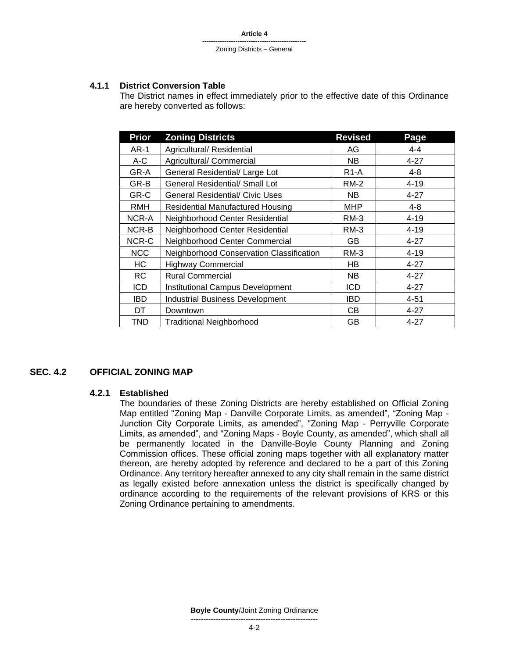#### **4.1.1 District Conversion Table**

The District names in effect immediately prior to the effective date of this Ordinance are hereby converted as follows:

| <b>Prior</b> | <b>Zoning Districts</b>                  | <b>Revised</b>    | Page     |
|--------------|------------------------------------------|-------------------|----------|
| <b>AR-1</b>  | Agricultural/ Residential                | AG                | $4 - 4$  |
| A-C          | Agricultural/ Commercial                 | NB.               | $4 - 27$ |
| GR-A         | General Residential/ Large Lot           | R <sub>1</sub> -A | $4 - 8$  |
| GR-B         | General Residential/ Small Lot           | <b>RM-2</b>       | $4 - 19$ |
| GR-C         | <b>General Residential/ Civic Uses</b>   | NB.               | $4 - 27$ |
| <b>RMH</b>   | <b>Residential Manufactured Housing</b>  | MHP               | 4-8      |
| NCR-A        | Neighborhood Center Residential          | RM-3              | $4 - 19$ |
| NCR-B        | Neighborhood Center Residential          | $RM-3$            | $4 - 19$ |
| NCR-C        | Neighborhood Center Commercial           | GB                | $4 - 27$ |
| <b>NCC</b>   | Neighborhood Conservation Classification | RM-3              | $4 - 19$ |
| НC           | <b>Highway Commercial</b>                | HВ                | $4 - 27$ |
| RC.          | <b>Rural Commercial</b>                  | NB.               | $4 - 27$ |
| <b>ICD</b>   | <b>Institutional Campus Development</b>  | ICD               | $4 - 27$ |
| <b>IBD</b>   | <b>Industrial Business Development</b>   | IBD               | $4 - 51$ |
| DT           | Downtown                                 | CB                | $4 - 27$ |
| TND          | <b>Traditional Neighborhood</b>          | GВ                | $4 - 27$ |

# **SEC. 4.2 OFFICIAL ZONING MAP**

#### **4.2.1 Established**

The boundaries of these Zoning Districts are hereby established on Official Zoning Map entitled "Zoning Map - Danville Corporate Limits, as amended", "Zoning Map - Junction City Corporate Limits, as amended", "Zoning Map - Perryville Corporate Limits, as amended", and "Zoning Maps - Boyle County, as amended", which shall all be permanently located in the Danville-Boyle County Planning and Zoning Commission offices. These official zoning maps together with all explanatory matter thereon, are hereby adopted by reference and declared to be a part of this Zoning Ordinance. Any territory hereafter annexed to any city shall remain in the same district as legally existed before annexation unless the district is specifically changed by ordinance according to the requirements of the relevant provisions of KRS or this Zoning Ordinance pertaining to amendments.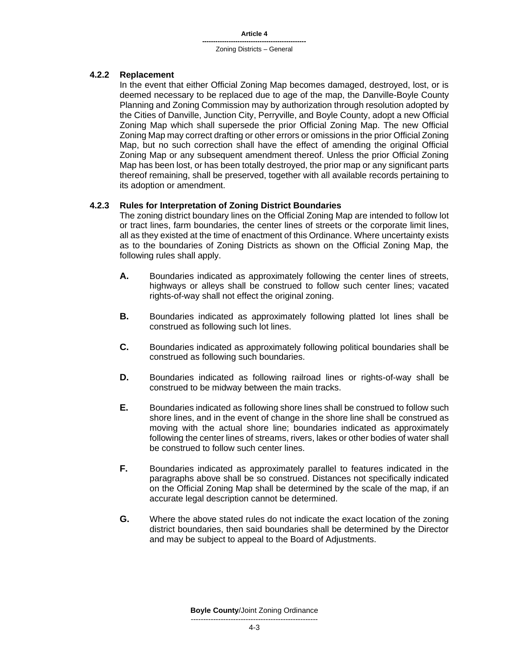### **4.2.2 Replacement**

In the event that either Official Zoning Map becomes damaged, destroyed, lost, or is deemed necessary to be replaced due to age of the map, the Danville-Boyle County Planning and Zoning Commission may by authorization through resolution adopted by the Cities of Danville, Junction City, Perryville, and Boyle County, adopt a new Official Zoning Map which shall supersede the prior Official Zoning Map. The new Official Zoning Map may correct drafting or other errors or omissions in the prior Official Zoning Map, but no such correction shall have the effect of amending the original Official Zoning Map or any subsequent amendment thereof. Unless the prior Official Zoning Map has been lost, or has been totally destroyed, the prior map or any significant parts thereof remaining, shall be preserved, together with all available records pertaining to its adoption or amendment.

### **4.2.3 Rules for Interpretation of Zoning District Boundaries**

The zoning district boundary lines on the Official Zoning Map are intended to follow lot or tract lines, farm boundaries, the center lines of streets or the corporate limit lines, all as they existed at the time of enactment of this Ordinance. Where uncertainty exists as to the boundaries of Zoning Districts as shown on the Official Zoning Map, the following rules shall apply.

- **A.** Boundaries indicated as approximately following the center lines of streets, highways or alleys shall be construed to follow such center lines; vacated rights-of-way shall not effect the original zoning.
- **B.** Boundaries indicated as approximately following platted lot lines shall be construed as following such lot lines.
- **C.** Boundaries indicated as approximately following political boundaries shall be construed as following such boundaries.
- **D.** Boundaries indicated as following railroad lines or rights-of-way shall be construed to be midway between the main tracks.
- **E.** Boundaries indicated as following shore lines shall be construed to follow such shore lines, and in the event of change in the shore line shall be construed as moving with the actual shore line; boundaries indicated as approximately following the center lines of streams, rivers, lakes or other bodies of water shall be construed to follow such center lines.
- **F.** Boundaries indicated as approximately parallel to features indicated in the paragraphs above shall be so construed. Distances not specifically indicated on the Official Zoning Map shall be determined by the scale of the map, if an accurate legal description cannot be determined.
- **G.** Where the above stated rules do not indicate the exact location of the zoning district boundaries, then said boundaries shall be determined by the Director and may be subject to appeal to the Board of Adjustments.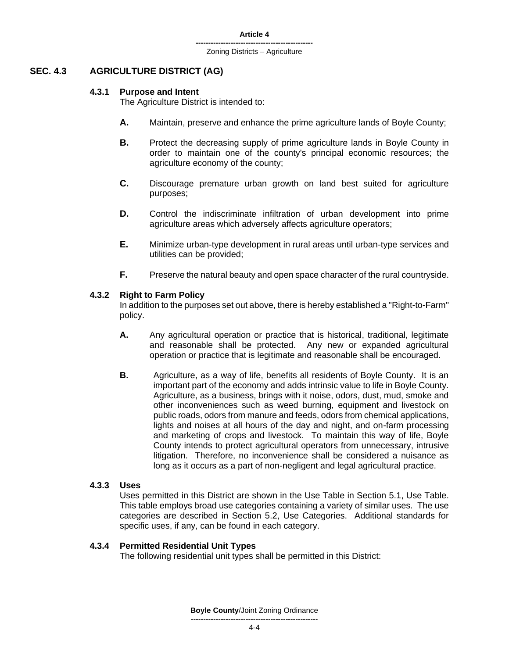# **SEC. 4.3 AGRICULTURE DISTRICT (AG)**

# **4.3.1 Purpose and Intent**

The Agriculture District is intended to:

- **A.** Maintain, preserve and enhance the prime agriculture lands of Boyle County;
- **B.** Protect the decreasing supply of prime agriculture lands in Boyle County in order to maintain one of the county's principal economic resources; the agriculture economy of the county;
- **C.** Discourage premature urban growth on land best suited for agriculture purposes;
- **D.** Control the indiscriminate infiltration of urban development into prime agriculture areas which adversely affects agriculture operators;
- **E.** Minimize urban-type development in rural areas until urban-type services and utilities can be provided;
- **F.** Preserve the natural beauty and open space character of the rural countryside.

# **4.3.2 Right to Farm Policy**

In addition to the purposes set out above, there is hereby established a "Right-to-Farm" policy.

- **A.** Any agricultural operation or practice that is historical, traditional, legitimate and reasonable shall be protected. Any new or expanded agricultural operation or practice that is legitimate and reasonable shall be encouraged.
- **B.** Agriculture, as a way of life, benefits all residents of Boyle County. It is an important part of the economy and adds intrinsic value to life in Boyle County. Agriculture, as a business, brings with it noise, odors, dust, mud, smoke and other inconveniences such as weed burning, equipment and livestock on public roads, odors from manure and feeds, odors from chemical applications, lights and noises at all hours of the day and night, and on-farm processing and marketing of crops and livestock. To maintain this way of life, Boyle County intends to protect agricultural operators from unnecessary, intrusive litigation. Therefore, no inconvenience shall be considered a nuisance as long as it occurs as a part of non-negligent and legal agricultural practice.

# **4.3.3 Uses**

Uses permitted in this District are shown in the Use Table in Section 5.1, Use Table. This table employs broad use categories containing a variety of similar uses. The use categories are described in Section 5.2, Use Categories. Additional standards for specific uses, if any, can be found in each category.

# **4.3.4 Permitted Residential Unit Types**

The following residential unit types shall be permitted in this District: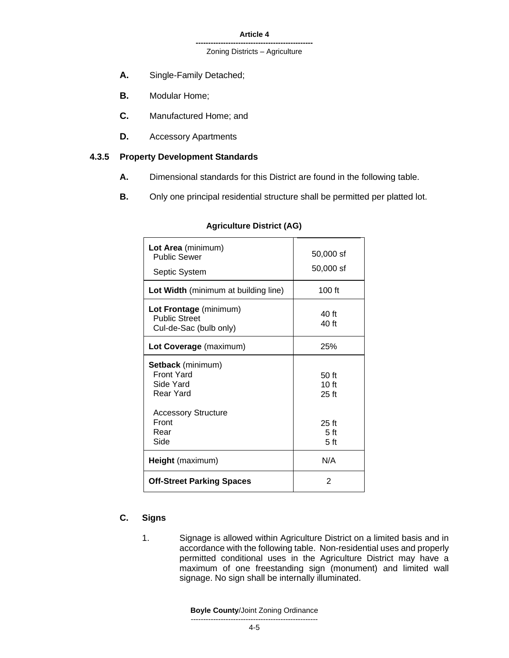- **A.** Single-Family Detached;
- **B.** Modular Home;
- **C.** Manufactured Home; and
- **D.** Accessory Apartments

# **4.3.5 Property Development Standards**

- **A.** Dimensional standards for this District are found in the following table.
- **B.** Only one principal residential structure shall be permitted per platted lot.

| Lot Area (minimum)<br><b>Public Sewer</b><br>Septic System               | 50,000 sf<br>50,000 sf                        |
|--------------------------------------------------------------------------|-----------------------------------------------|
| Lot Width (minimum at building line)                                     | 100 ft                                        |
| Lot Frontage (minimum)<br><b>Public Street</b><br>Cul-de-Sac (bulb only) | 40 ft<br>40 ft                                |
| Lot Coverage (maximum)                                                   | 25%                                           |
| Setback (minimum)<br><b>Front Yard</b><br>Side Yard<br>Rear Yard         | 50 ft<br>10 <sub>ft</sub><br>$25$ ft          |
| <b>Accessory Structure</b><br>Front<br>Rear<br>Side                      | $25$ ft<br>5 <sub>ft</sub><br>5 <sub>ft</sub> |
| Height (maximum)                                                         | N/A                                           |
| <b>Off-Street Parking Spaces</b>                                         | 2                                             |

#### **Agriculture District (AG)**

# **C. Signs**

1. Signage is allowed within Agriculture District on a limited basis and in accordance with the following table. Non-residential uses and properly permitted conditional uses in the Agriculture District may have a maximum of one freestanding sign (monument) and limited wall signage. No sign shall be internally illuminated.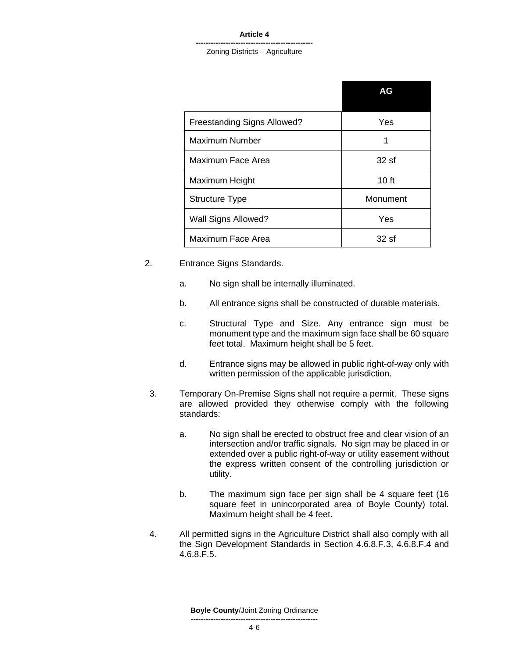#### **-----------------------------------------------** Zoning Districts – Agriculture

|                             | AG               |
|-----------------------------|------------------|
| Freestanding Signs Allowed? | Yes              |
| Maximum Number              | 1                |
| Maximum Face Area           | 32sf             |
| Maximum Height              | 10 <sub>ft</sub> |
| <b>Structure Type</b>       | Monument         |
| Wall Signs Allowed?         | Yes              |
| Maximum Face Area           | 32sf             |

- 2. Entrance Signs Standards.
	- a. No sign shall be internally illuminated.
	- b. All entrance signs shall be constructed of durable materials.
	- c. Structural Type and Size. Any entrance sign must be monument type and the maximum sign face shall be 60 square feet total. Maximum height shall be 5 feet.
	- d. Entrance signs may be allowed in public right-of-way only with written permission of the applicable jurisdiction.
	- 3. Temporary On-Premise Signs shall not require a permit. These signs are allowed provided they otherwise comply with the following standards:
		- a. No sign shall be erected to obstruct free and clear vision of an intersection and/or traffic signals. No sign may be placed in or extended over a public right-of-way or utility easement without the express written consent of the controlling jurisdiction or utility.
		- b. The maximum sign face per sign shall be 4 square feet (16 square feet in unincorporated area of Boyle County) total. Maximum height shall be 4 feet.
	- 4. All permitted signs in the Agriculture District shall also comply with all the Sign Development Standards in Section 4.6.8.F.3, 4.6.8.F.4 and 4.6.8.F.5.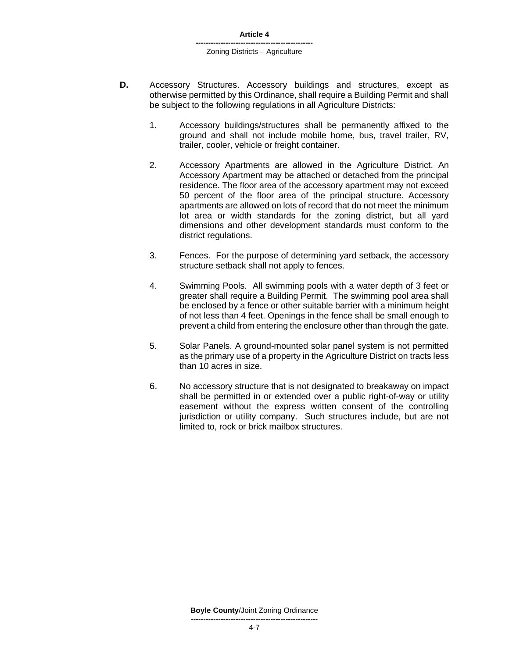#### **-----------------------------------------------** Zoning Districts – Agriculture

- **D.** Accessory Structures. Accessory buildings and structures, except as otherwise permitted by this Ordinance, shall require a Building Permit and shall be subject to the following regulations in all Agriculture Districts:
	- 1. Accessory buildings/structures shall be permanently affixed to the ground and shall not include mobile home, bus, travel trailer, RV, trailer, cooler, vehicle or freight container.
	- 2. Accessory Apartments are allowed in the Agriculture District. An Accessory Apartment may be attached or detached from the principal residence. The floor area of the accessory apartment may not exceed 50 percent of the floor area of the principal structure. Accessory apartments are allowed on lots of record that do not meet the minimum lot area or width standards for the zoning district, but all yard dimensions and other development standards must conform to the district regulations.
	- 3. Fences. For the purpose of determining yard setback, the accessory structure setback shall not apply to fences.
	- 4. Swimming Pools. All swimming pools with a water depth of 3 feet or greater shall require a Building Permit. The swimming pool area shall be enclosed by a fence or other suitable barrier with a minimum height of not less than 4 feet. Openings in the fence shall be small enough to prevent a child from entering the enclosure other than through the gate.
	- 5. Solar Panels. A ground-mounted solar panel system is not permitted as the primary use of a property in the Agriculture District on tracts less than 10 acres in size.
	- 6. No accessory structure that is not designated to breakaway on impact shall be permitted in or extended over a public right-of-way or utility easement without the express written consent of the controlling jurisdiction or utility company. Such structures include, but are not limited to, rock or brick mailbox structures.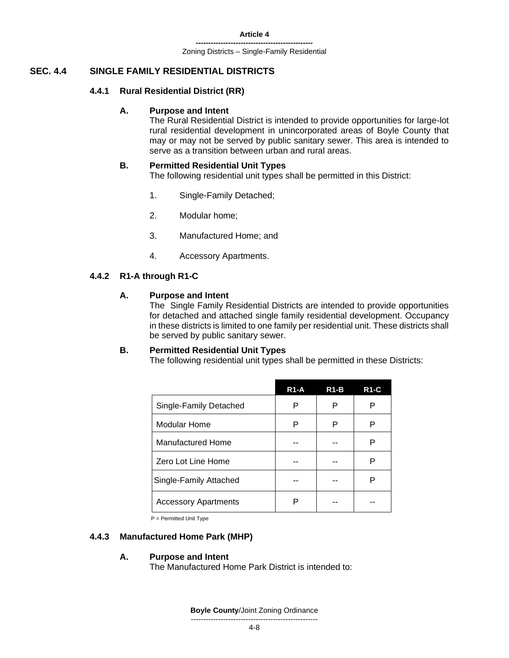**-----------------------------------------------** Zoning Districts – Single-Family Residential

# **SEC. 4.4 SINGLE FAMILY RESIDENTIAL DISTRICTS**

#### **4.4.1 Rural Residential District (RR)**

#### **A. Purpose and Intent**

The Rural Residential District is intended to provide opportunities for large-lot rural residential development in unincorporated areas of Boyle County that may or may not be served by public sanitary sewer. This area is intended to serve as a transition between urban and rural areas.

#### **B. Permitted Residential Unit Types**

The following residential unit types shall be permitted in this District:

- 1. Single-Family Detached;
- 2. Modular home;
- 3. Manufactured Home; and
- 4. Accessory Apartments.

#### **4.4.2 R1-A through R1-C**

#### **A. Purpose and Intent**

The Single Family Residential Districts are intended to provide opportunities for detached and attached single family residential development. Occupancy in these districts is limited to one family per residential unit. These districts shall be served by public sanitary sewer.

#### **B. Permitted Residential Unit Types**

The following residential unit types shall be permitted in these Districts:

|                             | $R1-A$ | $R1-B$ | <b>R1-C</b> |
|-----------------------------|--------|--------|-------------|
| Single-Family Detached      | P      | P      | Р           |
| Modular Home                | P      | P      | Р           |
| Manufactured Home           |        |        | Р           |
| Zero Lot Line Home          |        |        | Р           |
| Single-Family Attached      |        |        | P           |
| <b>Accessory Apartments</b> | Р      |        |             |

P = Permitted Unit Type

#### **4.4.3 Manufactured Home Park (MHP)**

#### **A. Purpose and Intent**

The Manufactured Home Park District is intended to: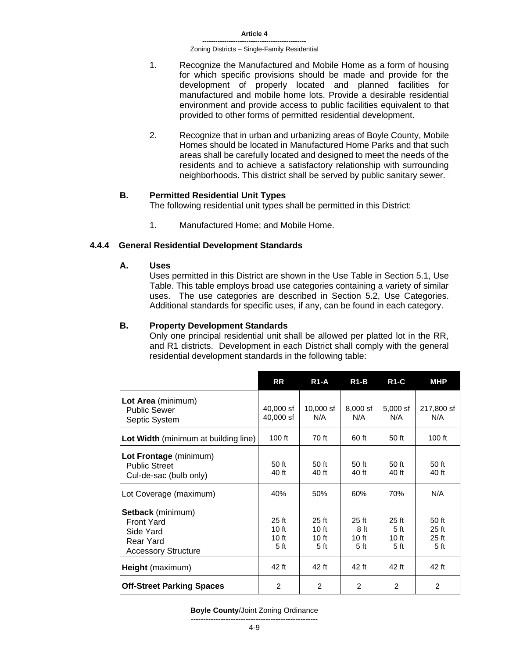- 1. Recognize the Manufactured and Mobile Home as a form of housing for which specific provisions should be made and provide for the development of properly located and planned facilities for manufactured and mobile home lots. Provide a desirable residential environment and provide access to public facilities equivalent to that provided to other forms of permitted residential development.
- 2. Recognize that in urban and urbanizing areas of Boyle County, Mobile Homes should be located in Manufactured Home Parks and that such areas shall be carefully located and designed to meet the needs of the residents and to achieve a satisfactory relationship with surrounding neighborhoods. This district shall be served by public sanitary sewer.

#### **B. Permitted Residential Unit Types**

The following residential unit types shall be permitted in this District:

1. Manufactured Home; and Mobile Home.

#### **4.4.4 General Residential Development Standards**

**A. Uses**

Uses permitted in this District are shown in the Use Table in Section 5.1, Use Table. This table employs broad use categories containing a variety of similar uses. The use categories are described in Section 5.2, Use Categories. Additional standards for specific uses, if any, can be found in each category.

### **B. Property Development Standards**

Only one principal residential unit shall be allowed per platted lot in the RR, and R1 districts. Development in each District shall comply with the general residential development standards in the following table:

|                                                                                                       | RR                                         | <b>R1-A</b>                       | $R1-B$                                    | <b>R1-C</b>                                          | <b>MHP</b>                                     |
|-------------------------------------------------------------------------------------------------------|--------------------------------------------|-----------------------------------|-------------------------------------------|------------------------------------------------------|------------------------------------------------|
| Lot Area (minimum)<br><b>Public Sewer</b><br>Septic System                                            | 40,000 sf<br>40,000 sf                     | $10,000$ sf<br>N/A                | $8,000$ sf<br>N/A                         | $5,000$ sf<br>N/A                                    | 217,800 sf<br>N/A                              |
| Lot Width (minimum at building line)                                                                  | $100$ ft                                   | 70 ft                             | 60 ft                                     | 50 ft                                                | $100$ ft                                       |
| Lot Frontage (minimum)<br><b>Public Street</b><br>Cul-de-sac (bulb only)                              | 50 ft<br>40 ft                             | 50 ft<br>40 ft                    | 50 ft<br>40 ft                            | 50 ft<br>40 ft                                       | 50 ft<br>40 ft                                 |
| Lot Coverage (maximum)                                                                                | 40%                                        | 50%                               | 60%                                       | 70%                                                  | N/A                                            |
| <b>Setback</b> (minimum)<br><b>Front Yard</b><br>Side Yard<br>Rear Yard<br><b>Accessory Structure</b> | 25 ft<br>10 ft<br>10 ft<br>5 <sub>ft</sub> | $25$ ft<br>10 ft<br>10 ft<br>5 ft | 25 <sub>ft</sub><br>8 ft<br>10 ft<br>5 ft | 25 <sub>ft</sub><br>5 <sub>ft</sub><br>10 ft<br>5 ft | 50 ft<br>$25$ ft<br>$25$ ft<br>5 <sub>ft</sub> |
| Height (maximum)                                                                                      | 42 ft                                      | 42 ft                             | 42 ft                                     | 42 ft                                                | 42 ft                                          |
| <b>Off-Street Parking Spaces</b>                                                                      | 2                                          | 2                                 | 2                                         | 2                                                    | 2                                              |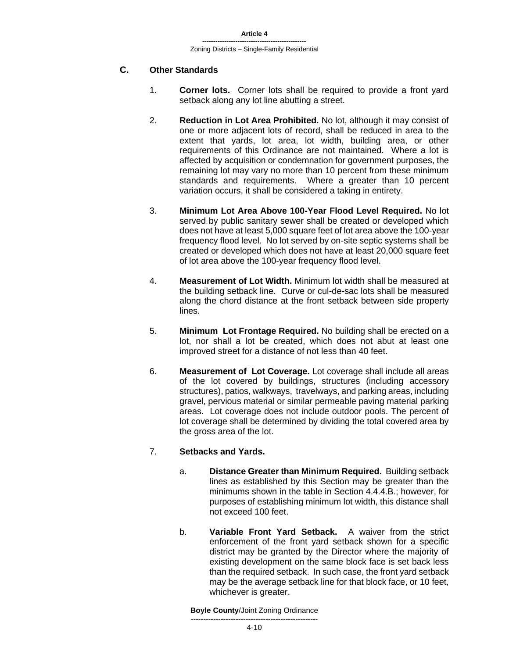# **C. Other Standards**

- 1. **Corner lots.** Corner lots shall be required to provide a front yard setback along any lot line abutting a street.
- 2. **Reduction in Lot Area Prohibited.** No lot, although it may consist of one or more adjacent lots of record, shall be reduced in area to the extent that yards, lot area, lot width, building area, or other requirements of this Ordinance are not maintained. Where a lot is affected by acquisition or condemnation for government purposes, the remaining lot may vary no more than 10 percent from these minimum standards and requirements. Where a greater than 10 percent variation occurs, it shall be considered a taking in entirety.
- 3. **Minimum Lot Area Above 100-Year Flood Level Required.** No lot served by public sanitary sewer shall be created or developed which does not have at least 5,000 square feet of lot area above the 100-year frequency flood level. No lot served by on-site septic systems shall be created or developed which does not have at least 20,000 square feet of lot area above the 100-year frequency flood level.
- 4. **Measurement of Lot Width.** Minimum lot width shall be measured at the building setback line. Curve or cul-de-sac lots shall be measured along the chord distance at the front setback between side property lines.
- 5. **Minimum Lot Frontage Required.** No building shall be erected on a lot, nor shall a lot be created, which does not abut at least one improved street for a distance of not less than 40 feet.
- 6. **Measurement of Lot Coverage.** Lot coverage shall include all areas of the lot covered by buildings, structures (including accessory structures), patios, walkways, travelways, and parking areas, including gravel, pervious material or similar permeable paving material parking areas. Lot coverage does not include outdoor pools. The percent of lot coverage shall be determined by dividing the total covered area by the gross area of the lot.

### 7. **Setbacks and Yards.**

- a. **Distance Greater than Minimum Required.** Building setback lines as established by this Section may be greater than the minimums shown in the table in Section 4.4.4.B.; however, for purposes of establishing minimum lot width, this distance shall not exceed 100 feet.
- b. **Variable Front Yard Setback.** A waiver from the strict enforcement of the front yard setback shown for a specific district may be granted by the Director where the majority of existing development on the same block face is set back less than the required setback. In such case, the front yard setback may be the average setback line for that block face, or 10 feet, whichever is greater.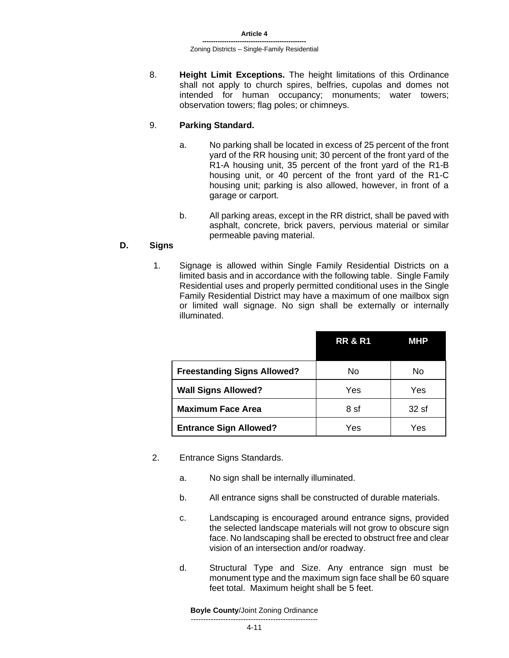8. **Height Limit Exceptions.** The height limitations of this Ordinance shall not apply to church spires, belfries, cupolas and domes not intended for human occupancy; monuments; water towers; observation towers; flag poles; or chimneys.

# 9. **Parking Standard.**

- a. No parking shall be located in excess of 25 percent of the front yard of the RR housing unit; 30 percent of the front yard of the R1-A housing unit, 35 percent of the front yard of the R1-B housing unit, or 40 percent of the front yard of the R1-C housing unit; parking is also allowed, however, in front of a garage or carport.
- b. All parking areas, except in the RR district, shall be paved with asphalt, concrete, brick pavers, pervious material or similar permeable paving material.

# **D. Signs**

1. Signage is allowed within Single Family Residential Districts on a limited basis and in accordance with the following table. Single Family Residential uses and properly permitted conditional uses in the Single Family Residential District may have a maximum of one mailbox sign or limited wall signage. No sign shall be externally or internally illuminated.

|                                    | <b>RR &amp; R1</b> | <b>MHP</b> |
|------------------------------------|--------------------|------------|
| <b>Freestanding Signs Allowed?</b> | No                 | No         |
| <b>Wall Signs Allowed?</b>         | Yes                | Yes        |
| <b>Maximum Face Area</b>           | 8 sf               | 32sf       |
| <b>Entrance Sign Allowed?</b>      | Yes                | Yes        |

- 2. Entrance Signs Standards.
	- a. No sign shall be internally illuminated.
	- b. All entrance signs shall be constructed of durable materials.
	- c. Landscaping is encouraged around entrance signs, provided the selected landscape materials will not grow to obscure sign face. No landscaping shall be erected to obstruct free and clear vision of an intersection and/or roadway.
	- d. Structural Type and Size. Any entrance sign must be monument type and the maximum sign face shall be 60 square feet total. Maximum height shall be 5 feet.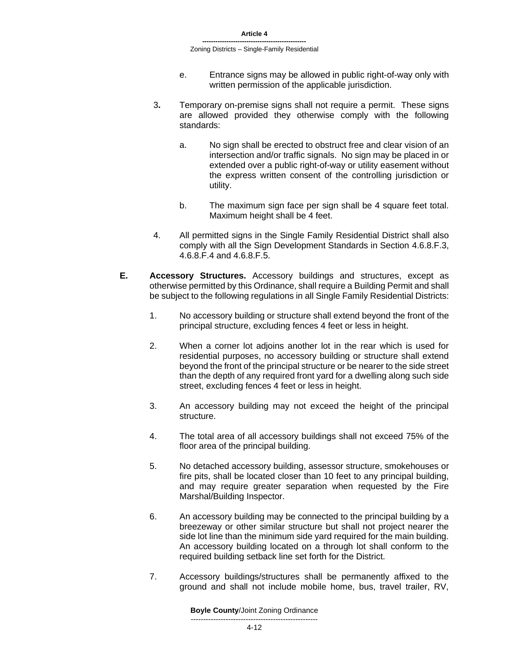- e. Entrance signs may be allowed in public right-of-way only with written permission of the applicable jurisdiction.
- 3**.** Temporary on-premise signs shall not require a permit. These signs are allowed provided they otherwise comply with the following standards:
	- a. No sign shall be erected to obstruct free and clear vision of an intersection and/or traffic signals. No sign may be placed in or extended over a public right-of-way or utility easement without the express written consent of the controlling jurisdiction or utility.
	- b. The maximum sign face per sign shall be 4 square feet total. Maximum height shall be 4 feet.
- 4. All permitted signs in the Single Family Residential District shall also comply with all the Sign Development Standards in Section 4.6.8.F.3, 4.6.8.F.4 and 4.6.8.F.5.
- **E. Accessory Structures.** Accessory buildings and structures, except as otherwise permitted by this Ordinance, shall require a Building Permit and shall be subject to the following regulations in all Single Family Residential Districts:
	- 1. No accessory building or structure shall extend beyond the front of the principal structure, excluding fences 4 feet or less in height.
	- 2. When a corner lot adjoins another lot in the rear which is used for residential purposes, no accessory building or structure shall extend beyond the front of the principal structure or be nearer to the side street than the depth of any required front yard for a dwelling along such side street, excluding fences 4 feet or less in height.
	- 3. An accessory building may not exceed the height of the principal structure.
	- 4. The total area of all accessory buildings shall not exceed 75% of the floor area of the principal building.
	- 5. No detached accessory building, assessor structure, smokehouses or fire pits, shall be located closer than 10 feet to any principal building, and may require greater separation when requested by the Fire Marshal/Building Inspector.
	- 6. An accessory building may be connected to the principal building by a breezeway or other similar structure but shall not project nearer the side lot line than the minimum side yard required for the main building. An accessory building located on a through lot shall conform to the required building setback line set forth for the District.
	- 7. Accessory buildings/structures shall be permanently affixed to the ground and shall not include mobile home, bus, travel trailer, RV,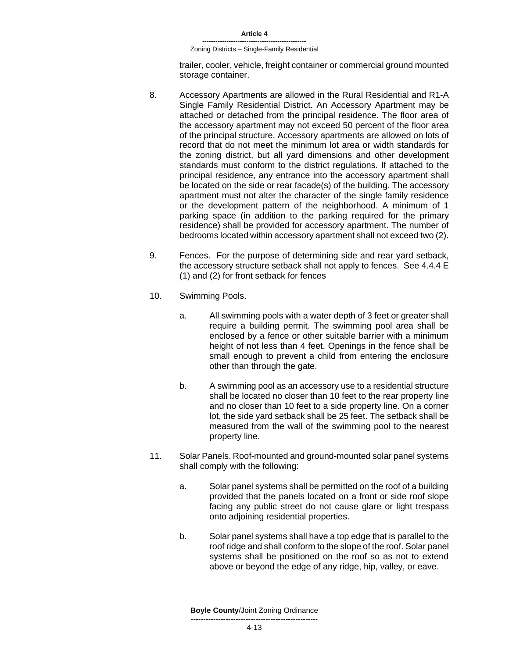trailer, cooler, vehicle, freight container or commercial ground mounted storage container.

- 8. Accessory Apartments are allowed in the Rural Residential and R1-A Single Family Residential District. An Accessory Apartment may be attached or detached from the principal residence. The floor area of the accessory apartment may not exceed 50 percent of the floor area of the principal structure. Accessory apartments are allowed on lots of record that do not meet the minimum lot area or width standards for the zoning district, but all yard dimensions and other development standards must conform to the district regulations. If attached to the principal residence, any entrance into the accessory apartment shall be located on the side or rear facade(s) of the building. The accessory apartment must not alter the character of the single family residence or the development pattern of the neighborhood. A minimum of 1 parking space (in addition to the parking required for the primary residence) shall be provided for accessory apartment. The number of bedrooms located within accessory apartment shall not exceed two (2).
- 9. Fences. For the purpose of determining side and rear yard setback, the accessory structure setback shall not apply to fences. See 4.4.4 E (1) and (2) for front setback for fences
- 10. Swimming Pools.
	- a. All swimming pools with a water depth of 3 feet or greater shall require a building permit. The swimming pool area shall be enclosed by a fence or other suitable barrier with a minimum height of not less than 4 feet. Openings in the fence shall be small enough to prevent a child from entering the enclosure other than through the gate.
	- b. A swimming pool as an accessory use to a residential structure shall be located no closer than 10 feet to the rear property line and no closer than 10 feet to a side property line. On a corner lot, the side yard setback shall be 25 feet. The setback shall be measured from the wall of the swimming pool to the nearest property line.
- 11. Solar Panels. Roof-mounted and ground-mounted solar panel systems shall comply with the following:
	- a. Solar panel systems shall be permitted on the roof of a building provided that the panels located on a front or side roof slope facing any public street do not cause glare or light trespass onto adjoining residential properties.
	- b. Solar panel systems shall have a top edge that is parallel to the roof ridge and shall conform to the slope of the roof. Solar panel systems shall be positioned on the roof so as not to extend above or beyond the edge of any ridge, hip, valley, or eave.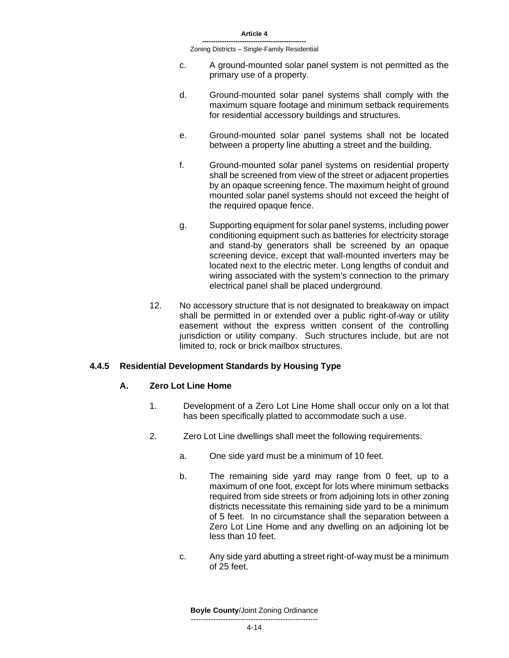- c. A ground-mounted solar panel system is not permitted as the primary use of a property.
- d. Ground-mounted solar panel systems shall comply with the maximum square footage and minimum setback requirements for residential accessory buildings and structures.
- e. Ground-mounted solar panel systems shall not be located between a property line abutting a street and the building.
- f. Ground-mounted solar panel systems on residential property shall be screened from view of the street or adjacent properties by an opaque screening fence. The maximum height of ground mounted solar panel systems should not exceed the height of the required opaque fence.
- g. Supporting equipment for solar panel systems, including power conditioning equipment such as batteries for electricity storage and stand-by generators shall be screened by an opaque screening device, except that wall-mounted inverters may be located next to the electric meter. Long lengths of conduit and wiring associated with the system's connection to the primary electrical panel shall be placed underground.
- 12. No accessory structure that is not designated to breakaway on impact shall be permitted in or extended over a public right-of-way or utility easement without the express written consent of the controlling jurisdiction or utility company. Such structures include, but are not limited to, rock or brick mailbox structures.

# **4.4.5 Residential Development Standards by Housing Type**

#### **A. Zero Lot Line Home**

- 1. Development of a Zero Lot Line Home shall occur only on a lot that has been specifically platted to accommodate such a use.
- 2. Zero Lot Line dwellings shall meet the following requirements:
	- a. One side yard must be a minimum of 10 feet.
	- b. The remaining side yard may range from 0 feet, up to a maximum of one foot, except for lots where minimum setbacks required from side streets or from adjoining lots in other zoning districts necessitate this remaining side yard to be a minimum of 5 feet. In no circumstance shall the separation between a Zero Lot Line Home and any dwelling on an adjoining lot be less than 10 feet.
	- c. Any side yard abutting a street right-of-way must be a minimum of 25 feet.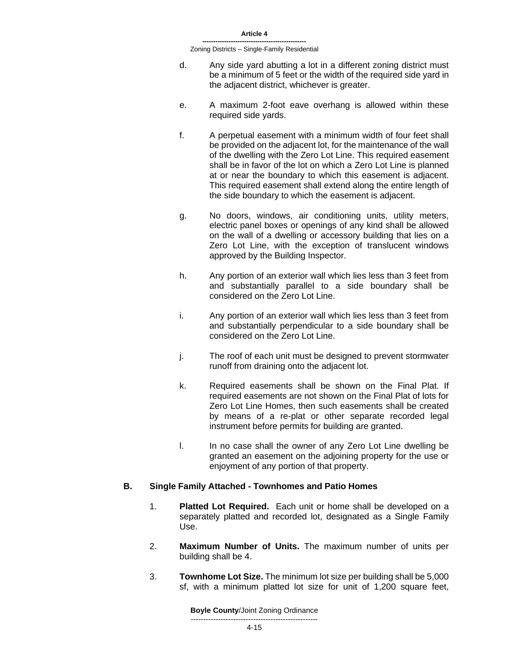- d. Any side yard abutting a lot in a different zoning district must be a minimum of 5 feet or the width of the required side yard in the adjacent district, whichever is greater.
- e. A maximum 2-foot eave overhang is allowed within these required side yards.
- f. A perpetual easement with a minimum width of four feet shall be provided on the adjacent lot, for the maintenance of the wall of the dwelling with the Zero Lot Line. This required easement shall be in favor of the lot on which a Zero Lot Line is planned at or near the boundary to which this easement is adjacent. This required easement shall extend along the entire length of the side boundary to which the easement is adjacent.
- g. No doors, windows, air conditioning units, utility meters, electric panel boxes or openings of any kind shall be allowed on the wall of a dwelling or accessory building that lies on a Zero Lot Line, with the exception of translucent windows approved by the Building Inspector.
- h. Any portion of an exterior wall which lies less than 3 feet from and substantially parallel to a side boundary shall be considered on the Zero Lot Line.
- i. Any portion of an exterior wall which lies less than 3 feet from and substantially perpendicular to a side boundary shall be considered on the Zero Lot Line.
- j. The roof of each unit must be designed to prevent stormwater runoff from draining onto the adjacent lot.
- k. Required easements shall be shown on the Final Plat. If required easements are not shown on the Final Plat of lots for Zero Lot Line Homes, then such easements shall be created by means of a re-plat or other separate recorded legal instrument before permits for building are granted.
- l. In no case shall the owner of any Zero Lot Line dwelling be granted an easement on the adjoining property for the use or enjoyment of any portion of that property.

#### **B. Single Family Attached - Townhomes and Patio Homes**

- 1. **Platted Lot Required.** Each unit or home shall be developed on a separately platted and recorded lot, designated as a Single Family Use.
- 2. **Maximum Number of Units.** The maximum number of units per building shall be 4.
- 3. **Townhome Lot Size.** The minimum lot size per building shall be 5,000 sf, with a minimum platted lot size for unit of 1,200 square feet,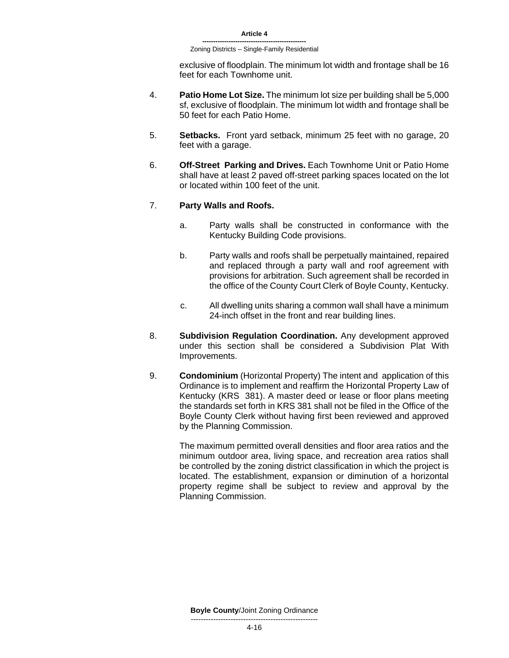exclusive of floodplain. The minimum lot width and frontage shall be 16 feet for each Townhome unit.

- 4. **Patio Home Lot Size.** The minimum lot size per building shall be 5,000 sf, exclusive of floodplain. The minimum lot width and frontage shall be 50 feet for each Patio Home.
- 5. **Setbacks.** Front yard setback, minimum 25 feet with no garage, 20 feet with a garage.
- 6. **Off-Street Parking and Drives.** Each Townhome Unit or Patio Home shall have at least 2 paved off-street parking spaces located on the lot or located within 100 feet of the unit.

#### 7. **Party Walls and Roofs.**

- a. Party walls shall be constructed in conformance with the Kentucky Building Code provisions.
- b. Party walls and roofs shall be perpetually maintained, repaired and replaced through a party wall and roof agreement with provisions for arbitration. Such agreement shall be recorded in the office of the County Court Clerk of Boyle County, Kentucky.
- c. All dwelling units sharing a common wall shall have a minimum 24-inch offset in the front and rear building lines.
- 8. **Subdivision Regulation Coordination.** Any development approved under this section shall be considered a Subdivision Plat With Improvements.
- 9. **Condominium** (Horizontal Property) The intent and application of this Ordinance is to implement and reaffirm the Horizontal Property Law of Kentucky (KRS 381). A master deed or lease or floor plans meeting the standards set forth in KRS 381 shall not be filed in the Office of the Boyle County Clerk without having first been reviewed and approved by the Planning Commission.

The maximum permitted overall densities and floor area ratios and the minimum outdoor area, living space, and recreation area ratios shall be controlled by the zoning district classification in which the project is located. The establishment, expansion or diminution of a horizontal property regime shall be subject to review and approval by the Planning Commission.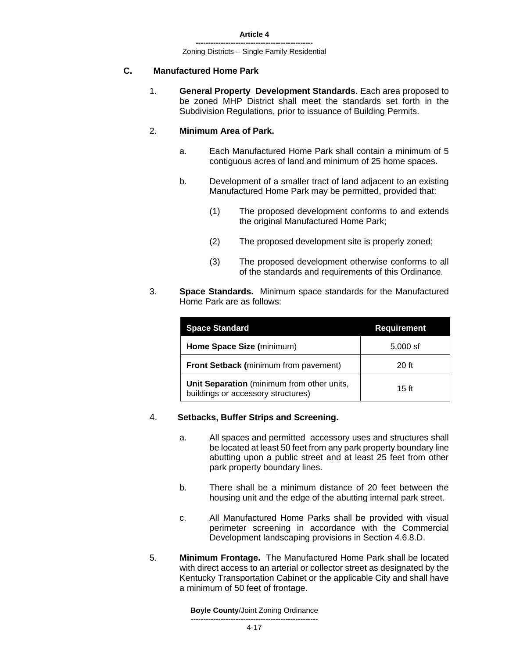# **C. Manufactured Home Park**

1. **General Property Development Standards**. Each area proposed to be zoned MHP District shall meet the standards set forth in the Subdivision Regulations, prior to issuance of Building Permits.

### 2. **Minimum Area of Park.**

- a. Each Manufactured Home Park shall contain a minimum of 5 contiguous acres of land and minimum of 25 home spaces.
- b. Development of a smaller tract of land adjacent to an existing Manufactured Home Park may be permitted, provided that:
	- (1) The proposed development conforms to and extends the original Manufactured Home Park;
	- (2) The proposed development site is properly zoned;
	- (3) The proposed development otherwise conforms to all of the standards and requirements of this Ordinance.
- 3. **Space Standards.** Minimum space standards for the Manufactured Home Park are as follows:

| <b>Space Standard</b>                                                            | <b>Requirement</b> |
|----------------------------------------------------------------------------------|--------------------|
| Home Space Size (minimum)                                                        | $5,000$ sf         |
| Front Setback (minimum from pavement)                                            | $20$ ft            |
| Unit Separation (minimum from other units,<br>buildings or accessory structures) | 15 <sub>ft</sub>   |

#### 4. **Setbacks, Buffer Strips and Screening.**

- a. All spaces and permitted accessory uses and structures shall be located at least 50 feet from any park property boundary line abutting upon a public street and at least 25 feet from other park property boundary lines.
- b. There shall be a minimum distance of 20 feet between the housing unit and the edge of the abutting internal park street.
- c. All Manufactured Home Parks shall be provided with visual perimeter screening in accordance with the Commercial Development landscaping provisions in Section 4.6.8.D.
- 5. **Minimum Frontage.** The Manufactured Home Park shall be located with direct access to an arterial or collector street as designated by the Kentucky Transportation Cabinet or the applicable City and shall have a minimum of 50 feet of frontage.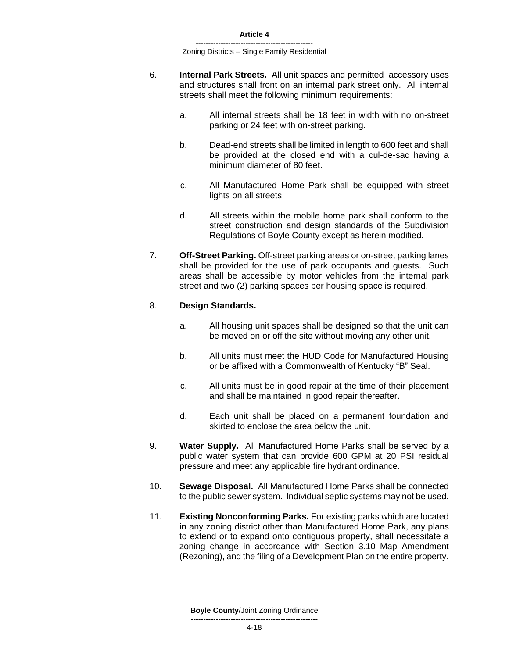- 6. **Internal Park Streets.** All unit spaces and permitted accessory uses and structures shall front on an internal park street only. All internal streets shall meet the following minimum requirements:
	- a. All internal streets shall be 18 feet in width with no on-street parking or 24 feet with on-street parking.
	- b. Dead-end streets shall be limited in length to 600 feet and shall be provided at the closed end with a cul-de-sac having a minimum diameter of 80 feet.
	- c. All Manufactured Home Park shall be equipped with street lights on all streets.
	- d. All streets within the mobile home park shall conform to the street construction and design standards of the Subdivision Regulations of Boyle County except as herein modified.
- 7. **Off-Street Parking.** Off-street parking areas or on-street parking lanes shall be provided for the use of park occupants and guests. Such areas shall be accessible by motor vehicles from the internal park street and two (2) parking spaces per housing space is required.

#### 8. **Design Standards.**

- a. All housing unit spaces shall be designed so that the unit can be moved on or off the site without moving any other unit.
- b. All units must meet the HUD Code for Manufactured Housing or be affixed with a Commonwealth of Kentucky "B" Seal.
- c. All units must be in good repair at the time of their placement and shall be maintained in good repair thereafter.
- d. Each unit shall be placed on a permanent foundation and skirted to enclose the area below the unit.
- 9. **Water Supply.** All Manufactured Home Parks shall be served by a public water system that can provide 600 GPM at 20 PSI residual pressure and meet any applicable fire hydrant ordinance.
- 10. **Sewage Disposal.** All Manufactured Home Parks shall be connected to the public sewer system. Individual septic systems may not be used.
- 11. **Existing Nonconforming Parks.** For existing parks which are located in any zoning district other than Manufactured Home Park, any plans to extend or to expand onto contiguous property, shall necessitate a zoning change in accordance with Section 3.10 Map Amendment (Rezoning), and the filing of a Development Plan on the entire property.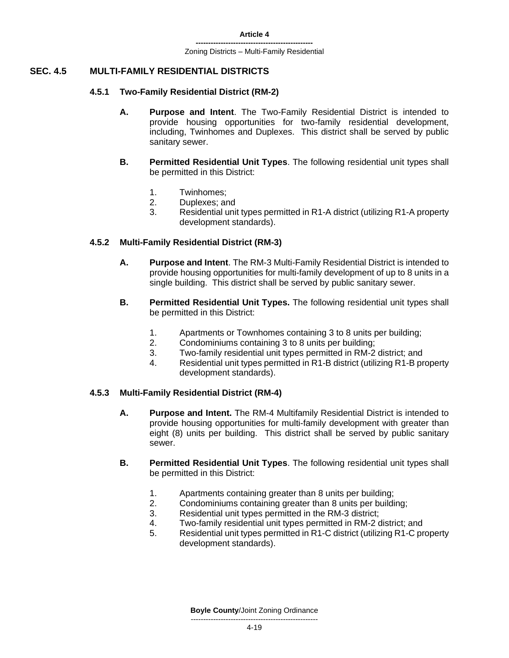# **SEC. 4.5 MULTI-FAMILY RESIDENTIAL DISTRICTS**

#### **4.5.1 Two-Family Residential District (RM-2)**

- **A. Purpose and Intent**. The Two-Family Residential District is intended to provide housing opportunities for two-family residential development, including, Twinhomes and Duplexes. This district shall be served by public sanitary sewer.
- **B. Permitted Residential Unit Types**. The following residential unit types shall be permitted in this District:
	- 1. Twinhomes;
	- 2. Duplexes; and
	- 3. Residential unit types permitted in R1-A district (utilizing R1-A property development standards).

#### **4.5.2 Multi-Family Residential District (RM-3)**

- **A. Purpose and Intent**. The RM-3 Multi-Family Residential District is intended to provide housing opportunities for multi-family development of up to 8 units in a single building. This district shall be served by public sanitary sewer.
- **B. Permitted Residential Unit Types.** The following residential unit types shall be permitted in this District:
	- 1. Apartments or Townhomes containing 3 to 8 units per building;
	- 2. Condominiums containing 3 to 8 units per building;
	- 3. Two-family residential unit types permitted in RM-2 district; and
	- 4. Residential unit types permitted in R1-B district (utilizing R1-B property development standards).

#### **4.5.3 Multi-Family Residential District (RM-4)**

- **A. Purpose and Intent.** The RM-4 Multifamily Residential District is intended to provide housing opportunities for multi-family development with greater than eight (8) units per building. This district shall be served by public sanitary sewer.
- **B. Permitted Residential Unit Types**. The following residential unit types shall be permitted in this District:
	- 1. Apartments containing greater than 8 units per building;
	- 2. Condominiums containing greater than 8 units per building;
	- 3. Residential unit types permitted in the RM-3 district;
	- 4. Two-family residential unit types permitted in RM-2 district; and
	- 5. Residential unit types permitted in R1-C district (utilizing R1-C property development standards).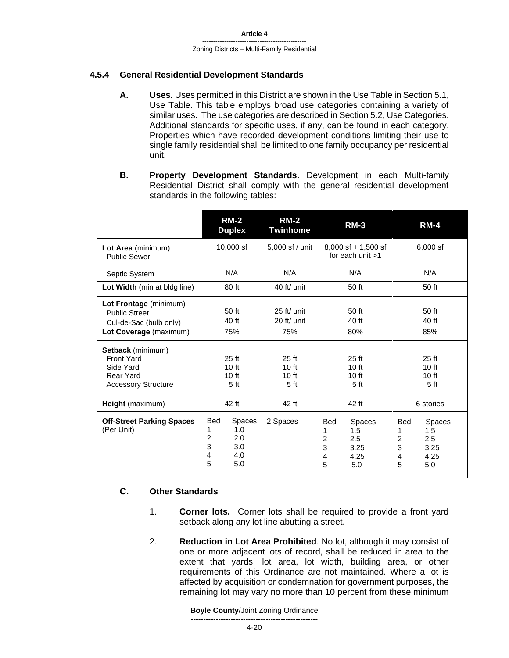# **4.5.4 General Residential Development Standards**

- **A. Uses.** Uses permitted in this District are shown in the Use Table in Section 5.1, Use Table. This table employs broad use categories containing a variety of similar uses. The use categories are described in Section 5.2, Use Categories. Additional standards for specific uses, if any, can be found in each category. Properties which have recorded development conditions limiting their use to single family residential shall be limited to one family occupancy per residential unit.
- **B. Property Development Standards.** Development in each Multi-family Residential District shall comply with the general residential development standards in the following tables:

|                                                                                                       | $RM-2$<br><b>Duplex</b>                                                                       | <b>RM-2</b><br><b>Twinhome</b>                          | <b>RM-3</b>                                                                                     | <b>RM-4</b>                                                                                                  |  |
|-------------------------------------------------------------------------------------------------------|-----------------------------------------------------------------------------------------------|---------------------------------------------------------|-------------------------------------------------------------------------------------------------|--------------------------------------------------------------------------------------------------------------|--|
| Lot Area (minimum)<br><b>Public Sewer</b>                                                             | 10,000 sf                                                                                     | 5,000 sf / unit                                         | $8,000$ sf + 1,500 sf<br>for each unit $>1$                                                     |                                                                                                              |  |
| Septic System                                                                                         | N/A                                                                                           | N/A                                                     | N/A                                                                                             | N/A                                                                                                          |  |
| Lot Width (min at bldg line)                                                                          | 80 ft                                                                                         | 40 ft/ unit                                             | 50 ft                                                                                           | 50 ft                                                                                                        |  |
| Lot Frontage (minimum)<br><b>Public Street</b><br>Cul-de-Sac (bulb only)<br>Lot Coverage (maximum)    | 50 ft<br>40 ft<br>75%                                                                         | 25 ft/ unit<br>20 ft/ unit<br>75%                       | 50 ft<br>40 ft<br>80%                                                                           | 50 ft<br>40 ft<br>85%                                                                                        |  |
| Setback (minimum)<br><b>Front Yard</b><br>Side Yard<br><b>Rear Yard</b><br><b>Accessory Structure</b> | $25$ ft<br>10 <sub>ft</sub><br>10 ft<br>5 <sub>ft</sub>                                       | $25$ ft<br>10 <sub>ft</sub><br>10 ft<br>5 <sub>ft</sub> | 25 <sub>ft</sub><br>10 <sub>ft</sub><br>10 <sub>ft</sub><br>5 <sub>ft</sub>                     | $25$ ft<br>10 <sub>ft</sub><br>10 ft<br>5 <sub>ft</sub>                                                      |  |
| Height (maximum)                                                                                      | 42 ft                                                                                         | 42 ft                                                   | 42 ft                                                                                           | 6 stories                                                                                                    |  |
| <b>Off-Street Parking Spaces</b><br>(Per Unit)                                                        | <b>Bed</b><br>Spaces<br>1.0<br>1<br>$\overline{c}$<br>2.0<br>3<br>3.0<br>4<br>4.0<br>5<br>5.0 | 2 Spaces                                                | <b>Bed</b><br>Spaces<br>1.5<br>1<br>$\overline{c}$<br>2.5<br>3<br>3.25<br>4<br>4.25<br>5<br>5.0 | <b>Bed</b><br>Spaces<br>1<br>1.5<br>$\overline{c}$<br>2.5<br>3<br>3.25<br>4.25<br>$\overline{4}$<br>5<br>5.0 |  |

# **C. Other Standards**

- 1. **Corner lots.** Corner lots shall be required to provide a front yard setback along any lot line abutting a street.
- 2. **Reduction in Lot Area Prohibited**. No lot, although it may consist of one or more adjacent lots of record, shall be reduced in area to the extent that yards, lot area, lot width, building area, or other requirements of this Ordinance are not maintained. Where a lot is affected by acquisition or condemnation for government purposes, the remaining lot may vary no more than 10 percent from these minimum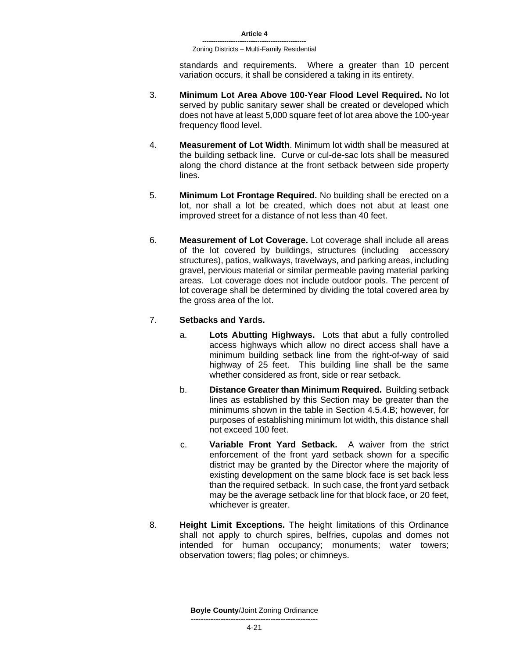standards and requirements. Where a greater than 10 percent variation occurs, it shall be considered a taking in its entirety.

- 3. **Minimum Lot Area Above 100-Year Flood Level Required.** No lot served by public sanitary sewer shall be created or developed which does not have at least 5,000 square feet of lot area above the 100-year frequency flood level.
- 4. **Measurement of Lot Width**. Minimum lot width shall be measured at the building setback line. Curve or cul-de-sac lots shall be measured along the chord distance at the front setback between side property lines.
- 5. **Minimum Lot Frontage Required.** No building shall be erected on a lot, nor shall a lot be created, which does not abut at least one improved street for a distance of not less than 40 feet.
- 6. **Measurement of Lot Coverage.** Lot coverage shall include all areas of the lot covered by buildings, structures (including accessory structures), patios, walkways, travelways, and parking areas, including gravel, pervious material or similar permeable paving material parking areas. Lot coverage does not include outdoor pools. The percent of lot coverage shall be determined by dividing the total covered area by the gross area of the lot.

# 7. **Setbacks and Yards.**

- a. **Lots Abutting Highways.** Lots that abut a fully controlled access highways which allow no direct access shall have a minimum building setback line from the right-of-way of said highway of 25 feet. This building line shall be the same whether considered as front, side or rear setback.
- b. **Distance Greater than Minimum Required.** Building setback lines as established by this Section may be greater than the minimums shown in the table in Section 4.5.4.B; however, for purposes of establishing minimum lot width, this distance shall not exceed 100 feet.
- c. **Variable Front Yard Setback.** A waiver from the strict enforcement of the front yard setback shown for a specific district may be granted by the Director where the majority of existing development on the same block face is set back less than the required setback. In such case, the front yard setback may be the average setback line for that block face, or 20 feet, whichever is greater.
- 8. **Height Limit Exceptions.** The height limitations of this Ordinance shall not apply to church spires, belfries, cupolas and domes not intended for human occupancy; monuments; water towers; observation towers; flag poles; or chimneys.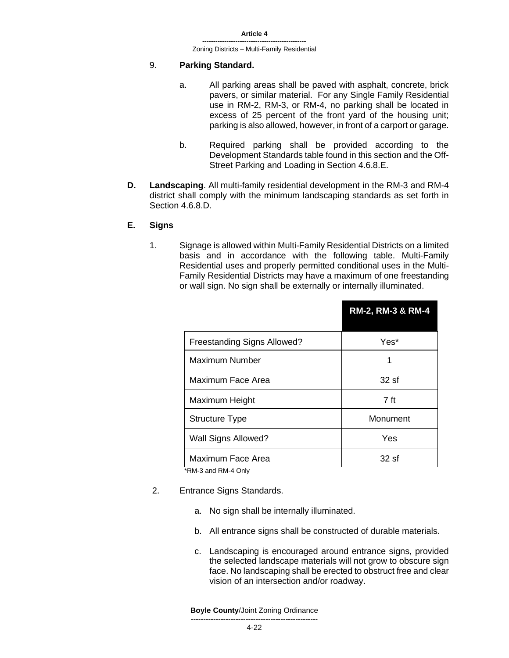#### 9. **Parking Standard.**

- a. All parking areas shall be paved with asphalt, concrete, brick pavers, or similar material. For any Single Family Residential use in RM-2, RM-3, or RM-4, no parking shall be located in excess of 25 percent of the front yard of the housing unit; parking is also allowed, however, in front of a carport or garage.
- b. Required parking shall be provided according to the Development Standards table found in this section and the Off-Street Parking and Loading in Section 4.6.8.E.
- **D. Landscaping**. All multi-family residential development in the RM-3 and RM-4 district shall comply with the minimum landscaping standards as set forth in Section 4.6.8.D.

#### **E. Signs**

1. Signage is allowed within Multi-Family Residential Districts on a limited basis and in accordance with the following table. Multi-Family Residential uses and properly permitted conditional uses in the Multi-Family Residential Districts may have a maximum of one freestanding or wall sign. No sign shall be externally or internally illuminated.

|                                              | RM-2, RM-3 & RM-4 |
|----------------------------------------------|-------------------|
| <b>Freestanding Signs Allowed?</b>           | Yes*              |
| <b>Maximum Number</b>                        | 1                 |
| Maximum Face Area                            | 32 sf             |
| Maximum Height                               | 7 ft              |
| <b>Structure Type</b>                        | Monument          |
| Wall Signs Allowed?                          | Yes               |
| Maximum Face Area<br>$*PML3$ and $PMLA$ Only | 32sf              |

\*RM-3 and RM-4 Only

- 2. Entrance Signs Standards.
	- a. No sign shall be internally illuminated.
	- b. All entrance signs shall be constructed of durable materials.
	- c. Landscaping is encouraged around entrance signs, provided the selected landscape materials will not grow to obscure sign face. No landscaping shall be erected to obstruct free and clear vision of an intersection and/or roadway.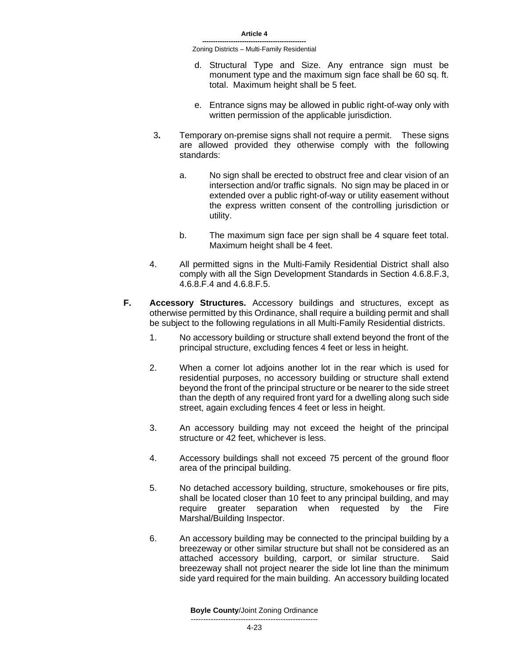- d. Structural Type and Size. Any entrance sign must be monument type and the maximum sign face shall be 60 sq. ft. total. Maximum height shall be 5 feet.
- e. Entrance signs may be allowed in public right-of-way only with written permission of the applicable jurisdiction.
- 3**.** Temporary on-premise signs shall not require a permit. These signs are allowed provided they otherwise comply with the following standards:
	- a. No sign shall be erected to obstruct free and clear vision of an intersection and/or traffic signals. No sign may be placed in or extended over a public right-of-way or utility easement without the express written consent of the controlling jurisdiction or utility.
	- b. The maximum sign face per sign shall be 4 square feet total. Maximum height shall be 4 feet.
- 4. All permitted signs in the Multi-Family Residential District shall also comply with all the Sign Development Standards in Section 4.6.8.F.3, 4.6.8.F.4 and 4.6.8.F.5.
- **F. Accessory Structures.** Accessory buildings and structures, except as otherwise permitted by this Ordinance, shall require a building permit and shall be subject to the following regulations in all Multi-Family Residential districts.
	- 1. No accessory building or structure shall extend beyond the front of the principal structure, excluding fences 4 feet or less in height.
	- 2. When a corner lot adjoins another lot in the rear which is used for residential purposes, no accessory building or structure shall extend beyond the front of the principal structure or be nearer to the side street than the depth of any required front yard for a dwelling along such side street, again excluding fences 4 feet or less in height.
	- 3. An accessory building may not exceed the height of the principal structure or 42 feet, whichever is less.
	- 4. Accessory buildings shall not exceed 75 percent of the ground floor area of the principal building.
	- 5. No detached accessory building, structure, smokehouses or fire pits, shall be located closer than 10 feet to any principal building, and may require greater separation when requested by the Fire Marshal/Building Inspector.
	- 6. An accessory building may be connected to the principal building by a breezeway or other similar structure but shall not be considered as an attached accessory building, carport, or similar structure. Said breezeway shall not project nearer the side lot line than the minimum side yard required for the main building. An accessory building located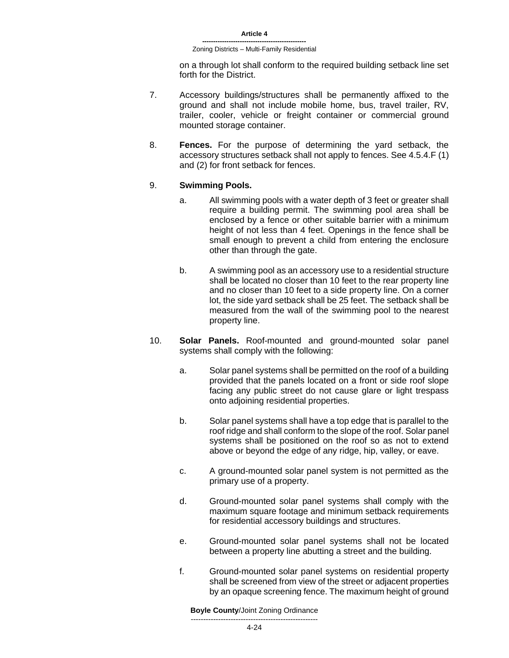on a through lot shall conform to the required building setback line set forth for the District.

- 7. Accessory buildings/structures shall be permanently affixed to the ground and shall not include mobile home, bus, travel trailer, RV, trailer, cooler, vehicle or freight container or commercial ground mounted storage container.
- 8. **Fences.** For the purpose of determining the yard setback, the accessory structures setback shall not apply to fences. See 4.5.4.F (1) and (2) for front setback for fences.

#### 9. **Swimming Pools.**

- a. All swimming pools with a water depth of 3 feet or greater shall require a building permit. The swimming pool area shall be enclosed by a fence or other suitable barrier with a minimum height of not less than 4 feet. Openings in the fence shall be small enough to prevent a child from entering the enclosure other than through the gate.
- b. A swimming pool as an accessory use to a residential structure shall be located no closer than 10 feet to the rear property line and no closer than 10 feet to a side property line. On a corner lot, the side yard setback shall be 25 feet. The setback shall be measured from the wall of the swimming pool to the nearest property line.
- 10. **Solar Panels.** Roof-mounted and ground-mounted solar panel systems shall comply with the following:
	- a. Solar panel systems shall be permitted on the roof of a building provided that the panels located on a front or side roof slope facing any public street do not cause glare or light trespass onto adjoining residential properties.
	- b. Solar panel systems shall have a top edge that is parallel to the roof ridge and shall conform to the slope of the roof. Solar panel systems shall be positioned on the roof so as not to extend above or beyond the edge of any ridge, hip, valley, or eave.
	- c. A ground-mounted solar panel system is not permitted as the primary use of a property.
	- d. Ground-mounted solar panel systems shall comply with the maximum square footage and minimum setback requirements for residential accessory buildings and structures.
	- e. Ground-mounted solar panel systems shall not be located between a property line abutting a street and the building.
	- f. Ground-mounted solar panel systems on residential property shall be screened from view of the street or adjacent properties by an opaque screening fence. The maximum height of ground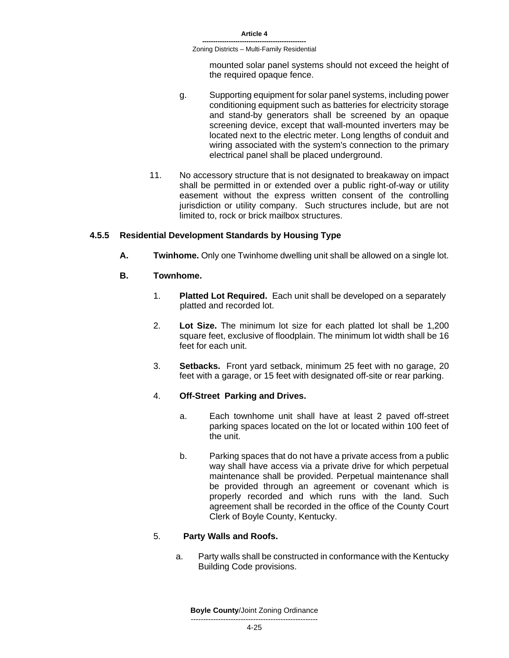mounted solar panel systems should not exceed the height of the required opaque fence.

- g. Supporting equipment for solar panel systems, including power conditioning equipment such as batteries for electricity storage and stand-by generators shall be screened by an opaque screening device, except that wall-mounted inverters may be located next to the electric meter. Long lengths of conduit and wiring associated with the system's connection to the primary electrical panel shall be placed underground.
- 11. No accessory structure that is not designated to breakaway on impact shall be permitted in or extended over a public right-of-way or utility easement without the express written consent of the controlling jurisdiction or utility company. Such structures include, but are not limited to, rock or brick mailbox structures.

# **4.5.5 Residential Development Standards by Housing Type**

**A. Twinhome.** Only one Twinhome dwelling unit shall be allowed on a single lot.

### **B. Townhome.**

- 1. **Platted Lot Required.** Each unit shall be developed on a separately platted and recorded lot.
- 2. **Lot Size.** The minimum lot size for each platted lot shall be 1,200 square feet, exclusive of floodplain. The minimum lot width shall be 16 feet for each unit.
- 3. **Setbacks.** Front yard setback, minimum 25 feet with no garage, 20 feet with a garage, or 15 feet with designated off-site or rear parking.

#### 4. **Off-Street Parking and Drives.**

- a. Each townhome unit shall have at least 2 paved off-street parking spaces located on the lot or located within 100 feet of the unit.
- b. Parking spaces that do not have a private access from a public way shall have access via a private drive for which perpetual maintenance shall be provided. Perpetual maintenance shall be provided through an agreement or covenant which is properly recorded and which runs with the land. Such agreement shall be recorded in the office of the County Court Clerk of Boyle County, Kentucky.

# 5. **Party Walls and Roofs.**

a. Party walls shall be constructed in conformance with the Kentucky Building Code provisions.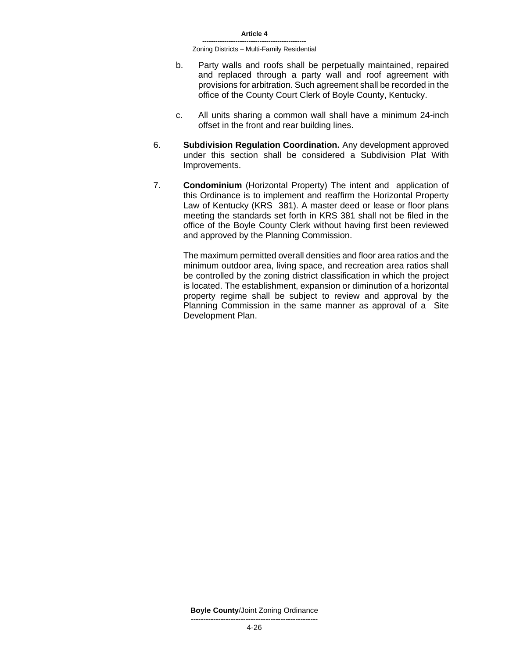- b. Party walls and roofs shall be perpetually maintained, repaired and replaced through a party wall and roof agreement with provisions for arbitration. Such agreement shall be recorded in the office of the County Court Clerk of Boyle County, Kentucky.
- c. All units sharing a common wall shall have a minimum 24-inch offset in the front and rear building lines.
- 6. **Subdivision Regulation Coordination.** Any development approved under this section shall be considered a Subdivision Plat With Improvements.
- 7. **Condominium** (Horizontal Property) The intent and application of this Ordinance is to implement and reaffirm the Horizontal Property Law of Kentucky (KRS 381). A master deed or lease or floor plans meeting the standards set forth in KRS 381 shall not be filed in the office of the Boyle County Clerk without having first been reviewed and approved by the Planning Commission.

The maximum permitted overall densities and floor area ratios and the minimum outdoor area, living space, and recreation area ratios shall be controlled by the zoning district classification in which the project is located. The establishment, expansion or diminution of a horizontal property regime shall be subject to review and approval by the Planning Commission in the same manner as approval of a Site Development Plan.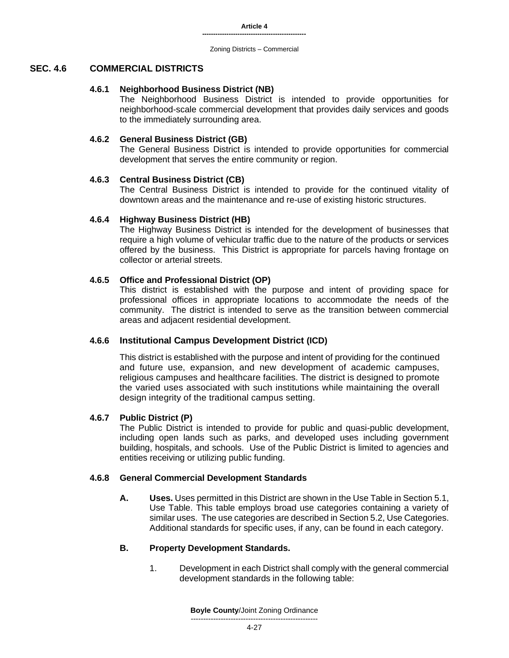# **SEC. 4.6 COMMERCIAL DISTRICTS**

# **4.6.1 Neighborhood Business District (NB)**

The Neighborhood Business District is intended to provide opportunities for neighborhood-scale commercial development that provides daily services and goods to the immediately surrounding area.

# **4.6.2 General Business District (GB)**

The General Business District is intended to provide opportunities for commercial development that serves the entire community or region.

# **4.6.3 Central Business District (CB)**

The Central Business District is intended to provide for the continued vitality of downtown areas and the maintenance and re-use of existing historic structures.

# **4.6.4 Highway Business District (HB)**

The Highway Business District is intended for the development of businesses that require a high volume of vehicular traffic due to the nature of the products or services offered by the business. This District is appropriate for parcels having frontage on collector or arterial streets.

# **4.6.5 Office and Professional District (OP)**

This district is established with the purpose and intent of providing space for professional offices in appropriate locations to accommodate the needs of the community. The district is intended to serve as the transition between commercial areas and adjacent residential development.

# **4.6.6 Institutional Campus Development District (ICD)**

This district is established with the purpose and intent of providing for the continued and future use, expansion, and new development of academic campuses, religious campuses and healthcare facilities. The district is designed to promote the varied uses associated with such institutions while maintaining the overall design integrity of the traditional campus setting.

# **4.6.7 Public District (P)**

The Public District is intended to provide for public and quasi-public development, including open lands such as parks, and developed uses including government building, hospitals, and schools. Use of the Public District is limited to agencies and entities receiving or utilizing public funding.

# **4.6.8 General Commercial Development Standards**

**A. Uses.** Uses permitted in this District are shown in the Use Table in Section 5.1, Use Table. This table employs broad use categories containing a variety of similar uses. The use categories are described in Section 5.2, Use Categories. Additional standards for specific uses, if any, can be found in each category.

# **B. Property Development Standards.**

1. Development in each District shall comply with the general commercial development standards in the following table: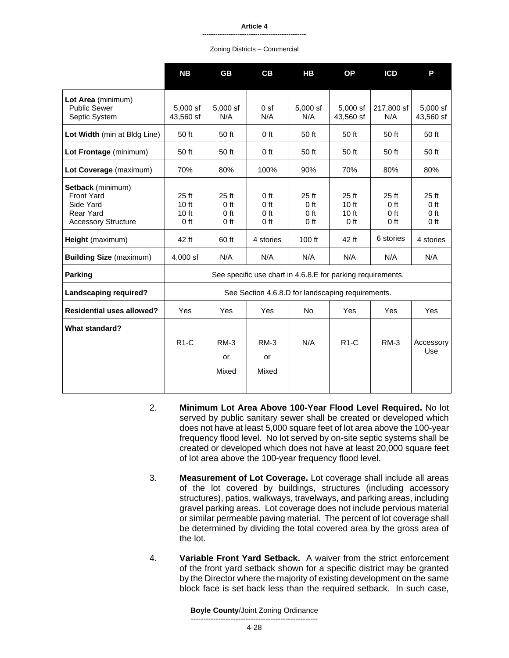|                                                                                                                                                                               | <b>NB</b>                                                           | <b>GB</b>                                                                        | CB                                                                       | HB                                                                                                                                                 | <b>OP</b>                                                                 | <b>ICD</b>                                                                | P                                                                       |
|-------------------------------------------------------------------------------------------------------------------------------------------------------------------------------|---------------------------------------------------------------------|----------------------------------------------------------------------------------|--------------------------------------------------------------------------|----------------------------------------------------------------------------------------------------------------------------------------------------|---------------------------------------------------------------------------|---------------------------------------------------------------------------|-------------------------------------------------------------------------|
| Lot Area (minimum)<br><b>Public Sewer</b><br>Septic System                                                                                                                    | $5.000$ sf<br>43.560 sf                                             | $5.000$ sf<br>N/A                                                                | 0 <sub>st</sub><br>N/A                                                   | $5.000$ sf<br>N/A                                                                                                                                  | 5,000 sf<br>43,560 sf                                                     | 217,800 sf<br>N/A                                                         | $5.000$ sf<br>43,560 sf                                                 |
| Lot Width (min at Bldg Line)                                                                                                                                                  | 50 ft                                                               | 50 ft                                                                            | $0$ ft                                                                   | 50 ft                                                                                                                                              | 50 ft                                                                     | 50 ft                                                                     | 50 ft                                                                   |
| Lot Frontage (minimum)                                                                                                                                                        | 50 ft                                                               | 50 ft                                                                            | 0 ft                                                                     | 50 ft                                                                                                                                              | 50 ft                                                                     | 50 ft                                                                     | 50 ft                                                                   |
| Lot Coverage (maximum)                                                                                                                                                        | 70%                                                                 | 80%                                                                              | 100%                                                                     | 90%                                                                                                                                                | 70%                                                                       | 80%                                                                       | 80%                                                                     |
| Setback (minimum)<br><b>Front Yard</b><br>Side Yard<br><b>Rear Yard</b><br><b>Accessory Structure</b><br>Height (maximum)<br><b>Building Size (maximum)</b><br><b>Parking</b> | $25$ ft<br>10 ft<br>10 <sub>ft</sub><br>$0$ ft<br>42 ft<br>4,000 sf | $25$ ft<br>0 <sub>ft</sub><br>0 <sub>ft</sub><br>0 <sub>ft</sub><br>60 ft<br>N/A | 0 <sub>ft</sub><br>0 <sub>ft</sub><br>0 ft<br>$0$ ft<br>4 stories<br>N/A | $25$ ft<br>0 <sub>ft</sub><br>0 <sub>ft</sub><br>0 <sub>ft</sub><br>$100$ ft<br>N/A<br>See specific use chart in 4.6.8.E for parking requirements. | $25$ ft<br>10 <sub>ft</sub><br>10 <sub>ft</sub><br>$0$ ft<br>42 ft<br>N/A | $25$ ft<br>0 <sub>ft</sub><br>0 <sub>ft</sub><br>0 ft<br>6 stories<br>N/A | 25 <sub>ft</sub><br>0 <sub>ft</sub><br>0 ft<br>0 ft<br>4 stories<br>N/A |
| <b>Landscaping required?</b>                                                                                                                                                  |                                                                     |                                                                                  |                                                                          | See Section 4.6.8.D for landscaping requirements.                                                                                                  |                                                                           |                                                                           |                                                                         |
| <b>Residential uses allowed?</b>                                                                                                                                              | Yes                                                                 | Yes                                                                              | Yes                                                                      | <b>No</b>                                                                                                                                          | Yes                                                                       | Yes                                                                       | <b>Yes</b>                                                              |
| What standard?                                                                                                                                                                | $R1-C$                                                              | $RM-3$<br>or<br>Mixed                                                            | $RM-3$<br>or<br>Mixed                                                    | N/A                                                                                                                                                | $R1-C$                                                                    | $RM-3$                                                                    | Accessory<br>Use                                                        |

- 2. **Minimum Lot Area Above 100-Year Flood Level Required.** No lot served by public sanitary sewer shall be created or developed which does not have at least 5,000 square feet of lot area above the 100-year frequency flood level. No lot served by on-site septic systems shall be created or developed which does not have at least 20,000 square feet of lot area above the 100-year frequency flood level.
- 3. **Measurement of Lot Coverage.** Lot coverage shall include all areas of the lot covered by buildings, structures (including accessory structures), patios, walkways, travelways, and parking areas, including gravel parking areas. Lot coverage does not include pervious material or similar permeable paving material. The percent of lot coverage shall be determined by dividing the total covered area by the gross area of the lot.
- 4. **Variable Front Yard Setback.** A waiver from the strict enforcement of the front yard setback shown for a specific district may be granted by the Director where the majority of existing development on the same block face is set back less than the required setback. In such case,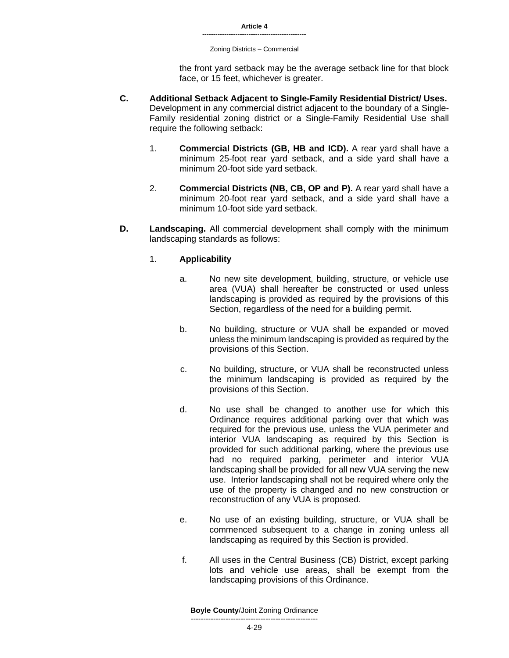Zoning Districts – Commercial

the front yard setback may be the average setback line for that block face, or 15 feet, whichever is greater.

- **C. Additional Setback Adjacent to Single-Family Residential District/ Uses.**  Development in any commercial district adjacent to the boundary of a Single-Family residential zoning district or a Single-Family Residential Use shall require the following setback:
	- 1. **Commercial Districts (GB, HB and ICD).** A rear yard shall have a minimum 25-foot rear yard setback, and a side yard shall have a minimum 20-foot side yard setback.
	- 2. **Commercial Districts (NB, CB, OP and P).** A rear yard shall have a minimum 20-foot rear yard setback, and a side yard shall have a minimum 10-foot side yard setback.
- **D. Landscaping.** All commercial development shall comply with the minimum landscaping standards as follows:

# 1. **Applicability**

- a. No new site development, building, structure, or vehicle use area (VUA) shall hereafter be constructed or used unless landscaping is provided as required by the provisions of this Section, regardless of the need for a building permit.
- b. No building, structure or VUA shall be expanded or moved unless the minimum landscaping is provided as required by the provisions of this Section.
- c. No building, structure, or VUA shall be reconstructed unless the minimum landscaping is provided as required by the provisions of this Section.
- d. No use shall be changed to another use for which this Ordinance requires additional parking over that which was required for the previous use, unless the VUA perimeter and interior VUA landscaping as required by this Section is provided for such additional parking, where the previous use had no required parking, perimeter and interior VUA landscaping shall be provided for all new VUA serving the new use. Interior landscaping shall not be required where only the use of the property is changed and no new construction or reconstruction of any VUA is proposed.
- e. No use of an existing building, structure, or VUA shall be commenced subsequent to a change in zoning unless all landscaping as required by this Section is provided.
- f. All uses in the Central Business (CB) District, except parking lots and vehicle use areas, shall be exempt from the landscaping provisions of this Ordinance.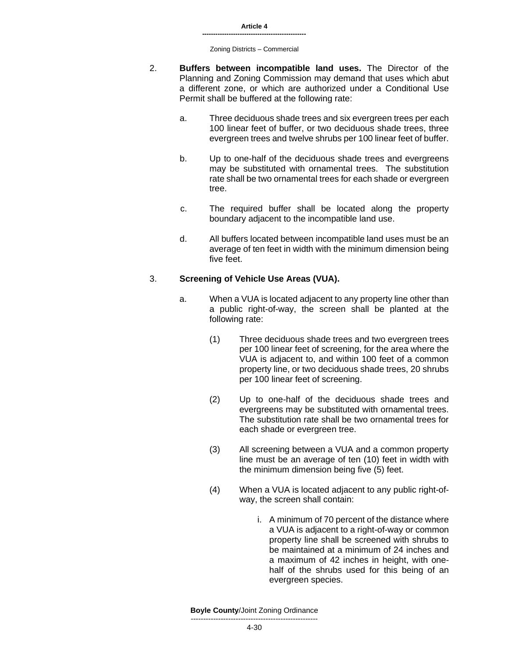- 2. **Buffers between incompatible land uses.** The Director of the Planning and Zoning Commission may demand that uses which abut a different zone, or which are authorized under a Conditional Use Permit shall be buffered at the following rate:
	- a. Three deciduous shade trees and six evergreen trees per each 100 linear feet of buffer, or two deciduous shade trees, three evergreen trees and twelve shrubs per 100 linear feet of buffer.
	- b. Up to one-half of the deciduous shade trees and evergreens may be substituted with ornamental trees. The substitution rate shall be two ornamental trees for each shade or evergreen tree.
	- c. The required buffer shall be located along the property boundary adjacent to the incompatible land use.
	- d. All buffers located between incompatible land uses must be an average of ten feet in width with the minimum dimension being five feet.

# 3. **Screening of Vehicle Use Areas (VUA).**

- a. When a VUA is located adjacent to any property line other than a public right-of-way, the screen shall be planted at the following rate:
	- (1) Three deciduous shade trees and two evergreen trees per 100 linear feet of screening, for the area where the VUA is adjacent to, and within 100 feet of a common property line, or two deciduous shade trees, 20 shrubs per 100 linear feet of screening.
	- (2) Up to one-half of the deciduous shade trees and evergreens may be substituted with ornamental trees. The substitution rate shall be two ornamental trees for each shade or evergreen tree.
	- (3) All screening between a VUA and a common property line must be an average of ten (10) feet in width with the minimum dimension being five (5) feet.
	- (4) When a VUA is located adjacent to any public right-ofway, the screen shall contain:
		- i. A minimum of 70 percent of the distance where a VUA is adjacent to a right-of-way or common property line shall be screened with shrubs to be maintained at a minimum of 24 inches and a maximum of 42 inches in height, with onehalf of the shrubs used for this being of an evergreen species.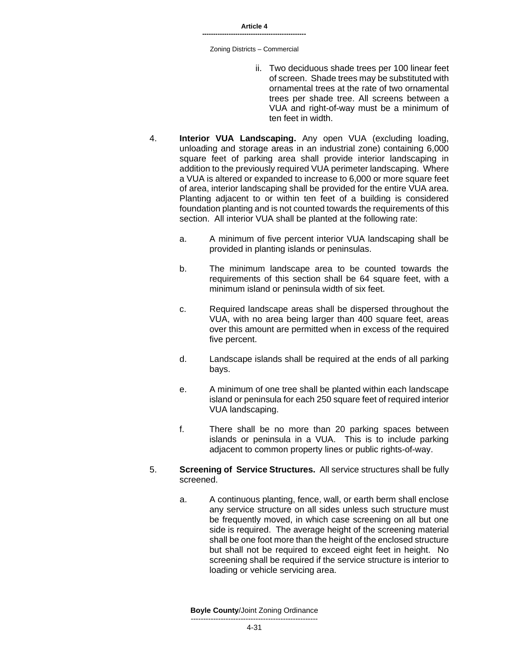- ii. Two deciduous shade trees per 100 linear feet of screen. Shade trees may be substituted with ornamental trees at the rate of two ornamental trees per shade tree. All screens between a VUA and right-of-way must be a minimum of ten feet in width.
- 4. **Interior VUA Landscaping.** Any open VUA (excluding loading, unloading and storage areas in an industrial zone) containing 6,000 square feet of parking area shall provide interior landscaping in addition to the previously required VUA perimeter landscaping. Where a VUA is altered or expanded to increase to 6,000 or more square feet of area, interior landscaping shall be provided for the entire VUA area. Planting adjacent to or within ten feet of a building is considered foundation planting and is not counted towards the requirements of this section. All interior VUA shall be planted at the following rate:
	- a. A minimum of five percent interior VUA landscaping shall be provided in planting islands or peninsulas.
	- b. The minimum landscape area to be counted towards the requirements of this section shall be 64 square feet, with a minimum island or peninsula width of six feet.
	- c. Required landscape areas shall be dispersed throughout the VUA, with no area being larger than 400 square feet, areas over this amount are permitted when in excess of the required five percent.
	- d. Landscape islands shall be required at the ends of all parking bays.
	- e. A minimum of one tree shall be planted within each landscape island or peninsula for each 250 square feet of required interior VUA landscaping.
	- f. There shall be no more than 20 parking spaces between islands or peninsula in a VUA. This is to include parking adjacent to common property lines or public rights-of-way.
- 5. **Screening of Service Structures.** All service structures shall be fully screened.
	- a. A continuous planting, fence, wall, or earth berm shall enclose any service structure on all sides unless such structure must be frequently moved, in which case screening on all but one side is required. The average height of the screening material shall be one foot more than the height of the enclosed structure but shall not be required to exceed eight feet in height. No screening shall be required if the service structure is interior to loading or vehicle servicing area.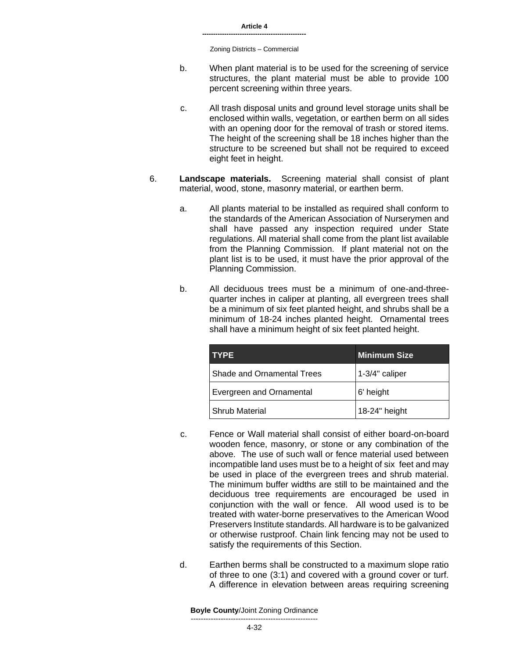- b. When plant material is to be used for the screening of service structures, the plant material must be able to provide 100 percent screening within three years.
- c. All trash disposal units and ground level storage units shall be enclosed within walls, vegetation, or earthen berm on all sides with an opening door for the removal of trash or stored items. The height of the screening shall be 18 inches higher than the structure to be screened but shall not be required to exceed eight feet in height.
- 6. **Landscape materials.** Screening material shall consist of plant material, wood, stone, masonry material, or earthen berm.
	- a. All plants material to be installed as required shall conform to the standards of the American Association of Nurserymen and shall have passed any inspection required under State regulations. All material shall come from the plant list available from the Planning Commission. If plant material not on the plant list is to be used, it must have the prior approval of the Planning Commission.
	- b. All deciduous trees must be a minimum of one-and-threequarter inches in caliper at planting, all evergreen trees shall be a minimum of six feet planted height, and shrubs shall be a minimum of 18-24 inches planted height. Ornamental trees shall have a minimum height of six feet planted height.

| <b>TYPE</b>                | <b>Minimum Size</b> |
|----------------------------|---------------------|
| Shade and Ornamental Trees | 1-3/4" caliper      |
| Evergreen and Ornamental   | 6' height           |
| <b>Shrub Material</b>      | 18-24" height       |

- c. Fence or Wall material shall consist of either board-on-board wooden fence, masonry, or stone or any combination of the above. The use of such wall or fence material used between incompatible land uses must be to a height of six feet and may be used in place of the evergreen trees and shrub material. The minimum buffer widths are still to be maintained and the deciduous tree requirements are encouraged be used in conjunction with the wall or fence. All wood used is to be treated with water-borne preservatives to the American Wood Preservers Institute standards. All hardware is to be galvanized or otherwise rustproof. Chain link fencing may not be used to satisfy the requirements of this Section.
- d. Earthen berms shall be constructed to a maximum slope ratio of three to one (3:1) and covered with a ground cover or turf. A difference in elevation between areas requiring screening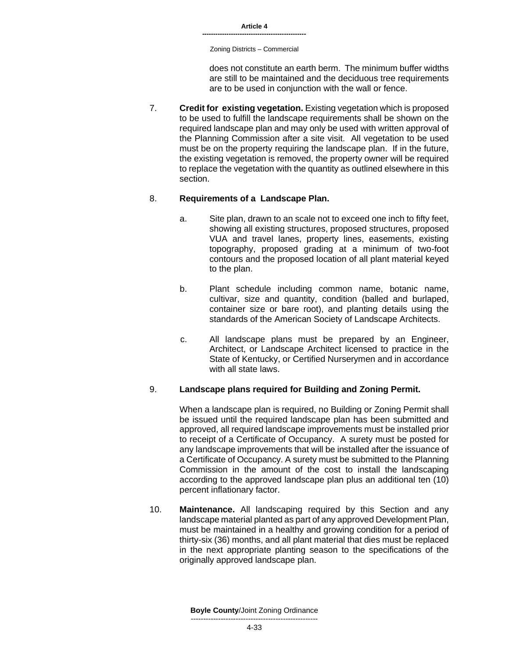**-----------------------------------------------**

Zoning Districts – Commercial

does not constitute an earth berm. The minimum buffer widths are still to be maintained and the deciduous tree requirements are to be used in conjunction with the wall or fence.

7. **Credit for existing vegetation.** Existing vegetation which is proposed to be used to fulfill the landscape requirements shall be shown on the required landscape plan and may only be used with written approval of the Planning Commission after a site visit. All vegetation to be used must be on the property requiring the landscape plan. If in the future, the existing vegetation is removed, the property owner will be required to replace the vegetation with the quantity as outlined elsewhere in this section.

# 8. **Requirements of a Landscape Plan.**

- a. Site plan, drawn to an scale not to exceed one inch to fifty feet, showing all existing structures, proposed structures, proposed VUA and travel lanes, property lines, easements, existing topography, proposed grading at a minimum of two-foot contours and the proposed location of all plant material keyed to the plan.
- b. Plant schedule including common name, botanic name, cultivar, size and quantity, condition (balled and burlaped, container size or bare root), and planting details using the standards of the American Society of Landscape Architects.
- c. All landscape plans must be prepared by an Engineer, Architect, or Landscape Architect licensed to practice in the State of Kentucky, or Certified Nurserymen and in accordance with all state laws.

# 9. **Landscape plans required for Building and Zoning Permit.**

When a landscape plan is required, no Building or Zoning Permit shall be issued until the required landscape plan has been submitted and approved, all required landscape improvements must be installed prior to receipt of a Certificate of Occupancy. A surety must be posted for any landscape improvements that will be installed after the issuance of a Certificate of Occupancy. A surety must be submitted to the Planning Commission in the amount of the cost to install the landscaping according to the approved landscape plan plus an additional ten (10) percent inflationary factor.

10. **Maintenance.** All landscaping required by this Section and any landscape material planted as part of any approved Development Plan, must be maintained in a healthy and growing condition for a period of thirty-six (36) months, and all plant material that dies must be replaced in the next appropriate planting season to the specifications of the originally approved landscape plan.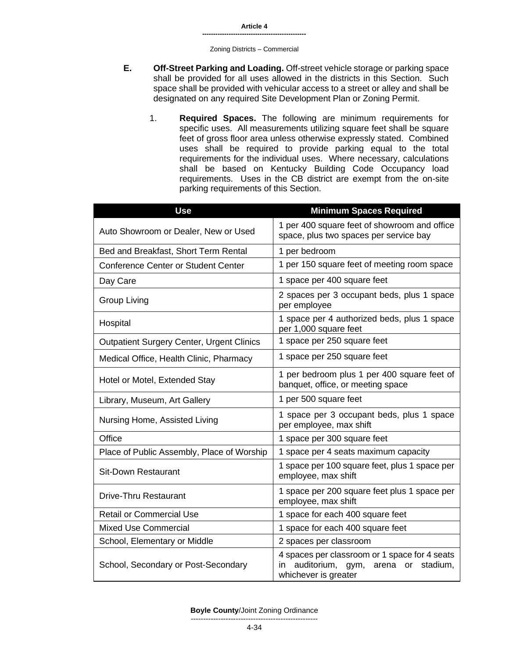#### Zoning Districts – Commercial

- **E. Off-Street Parking and Loading.** Off-street vehicle storage or parking space shall be provided for all uses allowed in the districts in this Section. Such space shall be provided with vehicular access to a street or alley and shall be designated on any required Site Development Plan or Zoning Permit.
	- 1. **Required Spaces.** The following are minimum requirements for specific uses. All measurements utilizing square feet shall be square feet of gross floor area unless otherwise expressly stated. Combined uses shall be required to provide parking equal to the total requirements for the individual uses. Where necessary, calculations shall be based on Kentucky Building Code Occupancy load requirements. Uses in the CB district are exempt from the on-site parking requirements of this Section.

| <b>Use</b>                                       | <b>Minimum Spaces Required</b>                                                                                          |
|--------------------------------------------------|-------------------------------------------------------------------------------------------------------------------------|
| Auto Showroom or Dealer, New or Used             | 1 per 400 square feet of showroom and office<br>space, plus two spaces per service bay                                  |
| Bed and Breakfast, Short Term Rental             | 1 per bedroom                                                                                                           |
| <b>Conference Center or Student Center</b>       | 1 per 150 square feet of meeting room space                                                                             |
| Day Care                                         | 1 space per 400 square feet                                                                                             |
| <b>Group Living</b>                              | 2 spaces per 3 occupant beds, plus 1 space<br>per employee                                                              |
| Hospital                                         | 1 space per 4 authorized beds, plus 1 space<br>per 1,000 square feet                                                    |
| <b>Outpatient Surgery Center, Urgent Clinics</b> | 1 space per 250 square feet                                                                                             |
| Medical Office, Health Clinic, Pharmacy          | 1 space per 250 square feet                                                                                             |
| Hotel or Motel, Extended Stay                    | 1 per bedroom plus 1 per 400 square feet of<br>banquet, office, or meeting space                                        |
| Library, Museum, Art Gallery                     | 1 per 500 square feet                                                                                                   |
| Nursing Home, Assisted Living                    | 1 space per 3 occupant beds, plus 1 space<br>per employee, max shift                                                    |
| Office                                           | 1 space per 300 square feet                                                                                             |
| Place of Public Assembly, Place of Worship       | 1 space per 4 seats maximum capacity                                                                                    |
| <b>Sit-Down Restaurant</b>                       | 1 space per 100 square feet, plus 1 space per<br>employee, max shift                                                    |
| Drive-Thru Restaurant                            | 1 space per 200 square feet plus 1 space per<br>employee, max shift                                                     |
| <b>Retail or Commercial Use</b>                  | 1 space for each 400 square feet                                                                                        |
| <b>Mixed Use Commercial</b>                      | 1 space for each 400 square feet                                                                                        |
| School, Elementary or Middle                     | 2 spaces per classroom                                                                                                  |
| School, Secondary or Post-Secondary              | 4 spaces per classroom or 1 space for 4 seats<br>auditorium, gym,<br>in<br>arena or<br>stadium,<br>whichever is greater |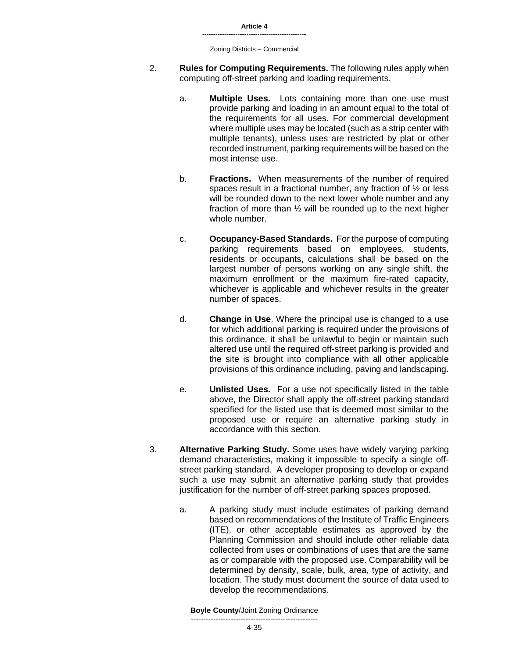- 2. **Rules for Computing Requirements.** The following rules apply when computing off-street parking and loading requirements.
	- a. **Multiple Uses.** Lots containing more than one use must provide parking and loading in an amount equal to the total of the requirements for all uses. For commercial development where multiple uses may be located (such as a strip center with multiple tenants), unless uses are restricted by plat or other recorded instrument, parking requirements will be based on the most intense use.
	- b. **Fractions.** When measurements of the number of required spaces result in a fractional number, any fraction of ½ or less will be rounded down to the next lower whole number and any fraction of more than ½ will be rounded up to the next higher whole number.
	- c. **Occupancy-Based Standards.** For the purpose of computing parking requirements based on employees, students, residents or occupants, calculations shall be based on the largest number of persons working on any single shift, the maximum enrollment or the maximum fire-rated capacity, whichever is applicable and whichever results in the greater number of spaces.
	- d. **Change in Use**. Where the principal use is changed to a use for which additional parking is required under the provisions of this ordinance, it shall be unlawful to begin or maintain such altered use until the required off-street parking is provided and the site is brought into compliance with all other applicable provisions of this ordinance including, paving and landscaping.
	- e. **Unlisted Uses.** For a use not specifically listed in the table above, the Director shall apply the off-street parking standard specified for the listed use that is deemed most similar to the proposed use or require an alternative parking study in accordance with this section.
- 3. **Alternative Parking Study.** Some uses have widely varying parking demand characteristics, making it impossible to specify a single offstreet parking standard. A developer proposing to develop or expand such a use may submit an alternative parking study that provides justification for the number of off-street parking spaces proposed.
	- a. A parking study must include estimates of parking demand based on recommendations of the Institute of Traffic Engineers (ITE), or other acceptable estimates as approved by the Planning Commission and should include other reliable data collected from uses or combinations of uses that are the same as or comparable with the proposed use. Comparability will be determined by density, scale, bulk, area, type of activity, and location. The study must document the source of data used to develop the recommendations.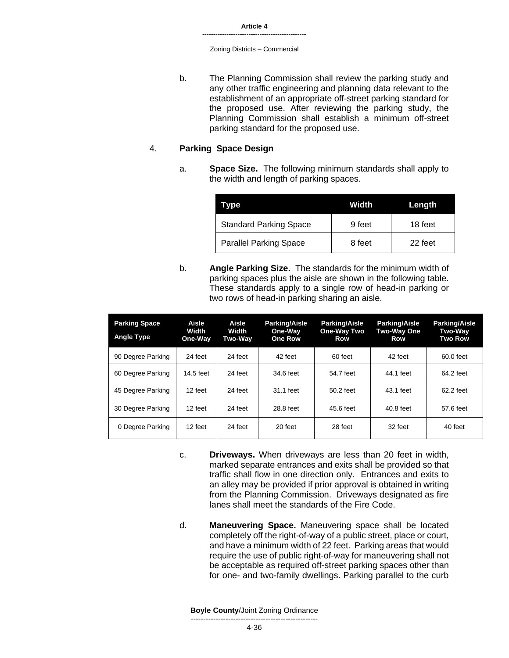b. The Planning Commission shall review the parking study and any other traffic engineering and planning data relevant to the establishment of an appropriate off-street parking standard for the proposed use. After reviewing the parking study, the Planning Commission shall establish a minimum off-street parking standard for the proposed use.

### 4. **Parking Space Design**

a. **Space Size.** The following minimum standards shall apply to the width and length of parking spaces.

| vpe                           | Width  | Length  |
|-------------------------------|--------|---------|
| <b>Standard Parking Space</b> | 9 feet | 18 feet |
| <b>Parallel Parking Space</b> | 8 feet | 22 feet |

b. **Angle Parking Size.** The standards for the minimum width of parking spaces plus the aisle are shown in the following table. These standards apply to a single row of head-in parking or two rows of head-in parking sharing an aisle.

| <b>Parking Space</b><br><b>Angle Type</b> | Aisle<br>Width<br>One-Way | Aisle<br>Width<br><b>Two-Way</b> | <b>Parking/Aisle</b><br>One-Way<br><b>One Row</b> | <b>Parking/Aisle</b><br>One-Way Two<br>Row | <b>Parking/Aisle</b><br>Two-Way One<br>Row | <b>Parking/Aisle</b><br><b>Two-Way</b><br><b>Two Row</b> |
|-------------------------------------------|---------------------------|----------------------------------|---------------------------------------------------|--------------------------------------------|--------------------------------------------|----------------------------------------------------------|
| 90 Degree Parking                         | 24 feet                   | 24 feet                          | 42 feet                                           | 60 feet                                    | 42 feet                                    | 60.0 feet                                                |
| 60 Degree Parking                         | 14.5 feet                 | 24 feet                          | 34.6 feet                                         | 54.7 feet                                  | 44.1 feet                                  | 64.2 feet                                                |
| 45 Degree Parking                         | 12 feet                   | 24 feet                          | 31.1 feet                                         | 50.2 feet                                  | 43.1 feet                                  | 62.2 feet                                                |
| 30 Degree Parking                         | 12 feet                   | 24 feet                          | 28.8 feet                                         | 45.6 feet                                  | 40.8 feet                                  | 57.6 feet                                                |
| 0 Degree Parking                          | 12 feet                   | 24 feet                          | 20 feet                                           | 28 feet                                    | 32 feet                                    | 40 feet                                                  |

- c. **Driveways.** When driveways are less than 20 feet in width, marked separate entrances and exits shall be provided so that traffic shall flow in one direction only. Entrances and exits to an alley may be provided if prior approval is obtained in writing from the Planning Commission. Driveways designated as fire lanes shall meet the standards of the Fire Code.
- d. **Maneuvering Space.** Maneuvering space shall be located completely off the right-of-way of a public street, place or court, and have a minimum width of 22 feet. Parking areas that would require the use of public right-of-way for maneuvering shall not be acceptable as required off-street parking spaces other than for one- and two-family dwellings. Parking parallel to the curb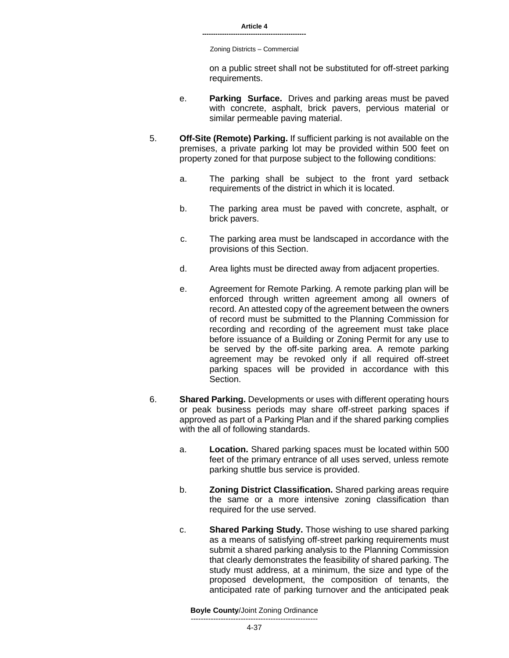Zoning Districts – Commercial

on a public street shall not be substituted for off-street parking requirements.

- e. **Parking Surface.** Drives and parking areas must be paved with concrete, asphalt, brick pavers, pervious material or similar permeable paving material.
- 5. **Off-Site (Remote) Parking.** If sufficient parking is not available on the premises, a private parking lot may be provided within 500 feet on property zoned for that purpose subject to the following conditions:
	- a. The parking shall be subject to the front yard setback requirements of the district in which it is located.
	- b. The parking area must be paved with concrete, asphalt, or brick pavers.
	- c. The parking area must be landscaped in accordance with the provisions of this Section.
	- d. Area lights must be directed away from adjacent properties.
	- e. Agreement for Remote Parking. A remote parking plan will be enforced through written agreement among all owners of record. An attested copy of the agreement between the owners of record must be submitted to the Planning Commission for recording and recording of the agreement must take place before issuance of a Building or Zoning Permit for any use to be served by the off-site parking area. A remote parking agreement may be revoked only if all required off-street parking spaces will be provided in accordance with this Section.
- 6. **Shared Parking.** Developments or uses with different operating hours or peak business periods may share off-street parking spaces if approved as part of a Parking Plan and if the shared parking complies with the all of following standards.
	- a. **Location.** Shared parking spaces must be located within 500 feet of the primary entrance of all uses served, unless remote parking shuttle bus service is provided.
	- b. **Zoning District Classification.** Shared parking areas require the same or a more intensive zoning classification than required for the use served.
	- c. **Shared Parking Study.** Those wishing to use shared parking as a means of satisfying off-street parking requirements must submit a shared parking analysis to the Planning Commission that clearly demonstrates the feasibility of shared parking. The study must address, at a minimum, the size and type of the proposed development, the composition of tenants, the anticipated rate of parking turnover and the anticipated peak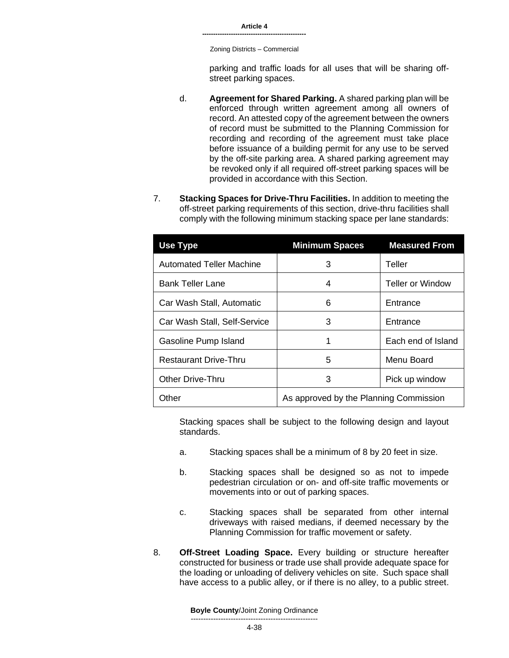**-----------------------------------------------**

Zoning Districts – Commercial

parking and traffic loads for all uses that will be sharing offstreet parking spaces.

- d. **Agreement for Shared Parking.** A shared parking plan will be enforced through written agreement among all owners of record. An attested copy of the agreement between the owners of record must be submitted to the Planning Commission for recording and recording of the agreement must take place before issuance of a building permit for any use to be served by the off-site parking area. A shared parking agreement may be revoked only if all required off-street parking spaces will be provided in accordance with this Section.
- 7. **Stacking Spaces for Drive-Thru Facilities.** In addition to meeting the off-street parking requirements of this section, drive-thru facilities shall comply with the following minimum stacking space per lane standards:

| <b>Use Type</b>                 | <b>Minimum Spaces</b>                  | <b>Measured From</b>    |  |
|---------------------------------|----------------------------------------|-------------------------|--|
| <b>Automated Teller Machine</b> | 3                                      | Teller                  |  |
| <b>Bank Teller Lane</b>         | 4                                      | <b>Teller or Window</b> |  |
| Car Wash Stall, Automatic       | 6                                      | Entrance                |  |
| Car Wash Stall, Self-Service    | 3                                      | Entrance                |  |
| Gasoline Pump Island            | 1                                      | Each end of Island      |  |
| <b>Restaurant Drive-Thru</b>    | 5                                      | Menu Board              |  |
| <b>Other Drive-Thru</b>         | 3                                      | Pick up window          |  |
| Other                           | As approved by the Planning Commission |                         |  |

Stacking spaces shall be subject to the following design and layout standards.

- a. Stacking spaces shall be a minimum of 8 by 20 feet in size.
- b. Stacking spaces shall be designed so as not to impede pedestrian circulation or on- and off-site traffic movements or movements into or out of parking spaces.
- c. Stacking spaces shall be separated from other internal driveways with raised medians, if deemed necessary by the Planning Commission for traffic movement or safety.
- 8. **Off-Street Loading Space.** Every building or structure hereafter constructed for business or trade use shall provide adequate space for the loading or unloading of delivery vehicles on site. Such space shall have access to a public alley, or if there is no alley, to a public street.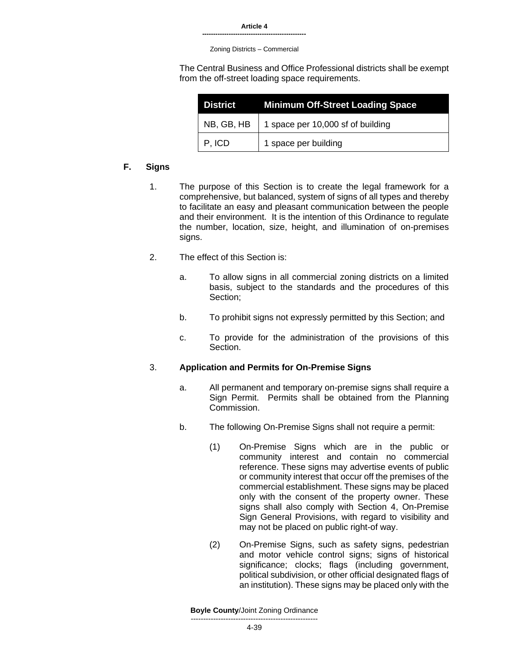Zoning Districts – Commercial

The Central Business and Office Professional districts shall be exempt from the off-street loading space requirements.

| <b>District</b> | <b>Minimum Off-Street Loading Space</b> |
|-----------------|-----------------------------------------|
| NB, GB, HB      | 1 space per 10,000 sf of building       |
| P, ICD          | 1 space per building                    |

# **F. Signs**

- 1. The purpose of this Section is to create the legal framework for a comprehensive, but balanced, system of signs of all types and thereby to facilitate an easy and pleasant communication between the people and their environment. It is the intention of this Ordinance to regulate the number, location, size, height, and illumination of on-premises signs.
- 2. The effect of this Section is:
	- a. To allow signs in all commercial zoning districts on a limited basis, subject to the standards and the procedures of this Section;
	- b. To prohibit signs not expressly permitted by this Section; and
	- c. To provide for the administration of the provisions of this **Section**

# 3. **Application and Permits for On-Premise Signs**

- a. All permanent and temporary on-premise signs shall require a Sign Permit. Permits shall be obtained from the Planning Commission.
- b. The following On-Premise Signs shall not require a permit:
	- (1) On-Premise Signs which are in the public or community interest and contain no commercial reference. These signs may advertise events of public or community interest that occur off the premises of the commercial establishment. These signs may be placed only with the consent of the property owner. These signs shall also comply with Section 4, On-Premise Sign General Provisions, with regard to visibility and may not be placed on public right-of way.
	- (2) On-Premise Signs, such as safety signs, pedestrian and motor vehicle control signs; signs of historical significance; clocks; flags (including government, political subdivision, or other official designated flags of an institution). These signs may be placed only with the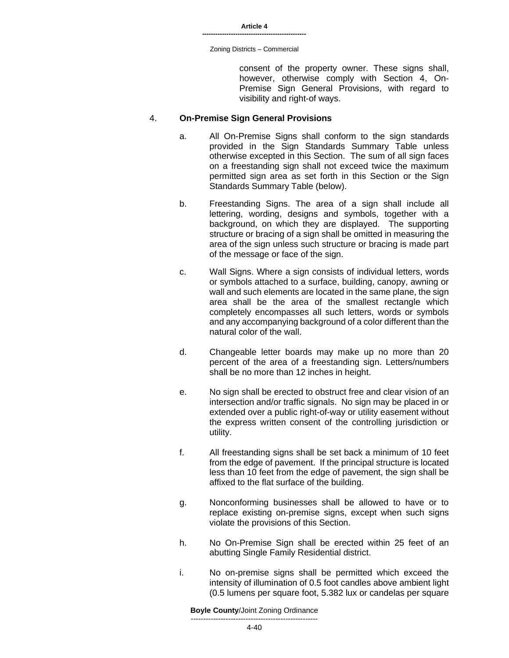consent of the property owner. These signs shall, however, otherwise comply with Section 4, On-Premise Sign General Provisions, with regard to visibility and right-of ways.

#### 4. **On-Premise Sign General Provisions**

- a. All On-Premise Signs shall conform to the sign standards provided in the Sign Standards Summary Table unless otherwise excepted in this Section. The sum of all sign faces on a freestanding sign shall not exceed twice the maximum permitted sign area as set forth in this Section or the Sign Standards Summary Table (below).
- b. Freestanding Signs. The area of a sign shall include all lettering, wording, designs and symbols, together with a background, on which they are displayed. The supporting structure or bracing of a sign shall be omitted in measuring the area of the sign unless such structure or bracing is made part of the message or face of the sign.
- c. Wall Signs. Where a sign consists of individual letters, words or symbols attached to a surface, building, canopy, awning or wall and such elements are located in the same plane, the sign area shall be the area of the smallest rectangle which completely encompasses all such letters, words or symbols and any accompanying background of a color different than the natural color of the wall.
- d. Changeable letter boards may make up no more than 20 percent of the area of a freestanding sign. Letters/numbers shall be no more than 12 inches in height.
- e. No sign shall be erected to obstruct free and clear vision of an intersection and/or traffic signals. No sign may be placed in or extended over a public right-of-way or utility easement without the express written consent of the controlling jurisdiction or utility.
- f. All freestanding signs shall be set back a minimum of 10 feet from the edge of pavement. If the principal structure is located less than 10 feet from the edge of pavement, the sign shall be affixed to the flat surface of the building.
- g. Nonconforming businesses shall be allowed to have or to replace existing on-premise signs, except when such signs violate the provisions of this Section.
- h. No On-Premise Sign shall be erected within 25 feet of an abutting Single Family Residential district.
- i. No on-premise signs shall be permitted which exceed the intensity of illumination of 0.5 foot candles above ambient light (0.5 lumens per square foot, 5.382 lux or candelas per square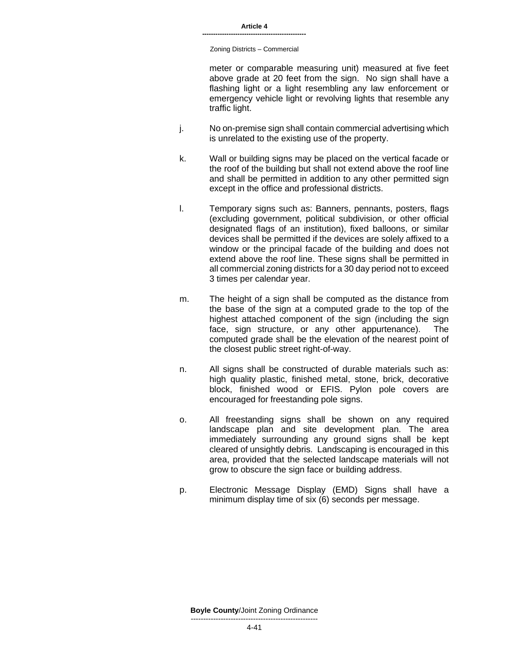Zoning Districts – Commercial

meter or comparable measuring unit) measured at five feet above grade at 20 feet from the sign. No sign shall have a flashing light or a light resembling any law enforcement or emergency vehicle light or revolving lights that resemble any traffic light.

- j. No on-premise sign shall contain commercial advertising which is unrelated to the existing use of the property.
- k. Wall or building signs may be placed on the vertical facade or the roof of the building but shall not extend above the roof line and shall be permitted in addition to any other permitted sign except in the office and professional districts.
- l. Temporary signs such as: Banners, pennants, posters, flags (excluding government, political subdivision, or other official designated flags of an institution), fixed balloons, or similar devices shall be permitted if the devices are solely affixed to a window or the principal facade of the building and does not extend above the roof line. These signs shall be permitted in all commercial zoning districts for a 30 day period not to exceed 3 times per calendar year.
- m. The height of a sign shall be computed as the distance from the base of the sign at a computed grade to the top of the highest attached component of the sign (including the sign face, sign structure, or any other appurtenance). The computed grade shall be the elevation of the nearest point of the closest public street right-of-way.
- n. All signs shall be constructed of durable materials such as: high quality plastic, finished metal, stone, brick, decorative block, finished wood or EFIS. Pylon pole covers are encouraged for freestanding pole signs.
- o. All freestanding signs shall be shown on any required landscape plan and site development plan. The area immediately surrounding any ground signs shall be kept cleared of unsightly debris. Landscaping is encouraged in this area, provided that the selected landscape materials will not grow to obscure the sign face or building address.
- p. Electronic Message Display (EMD) Signs shall have a minimum display time of six (6) seconds per message.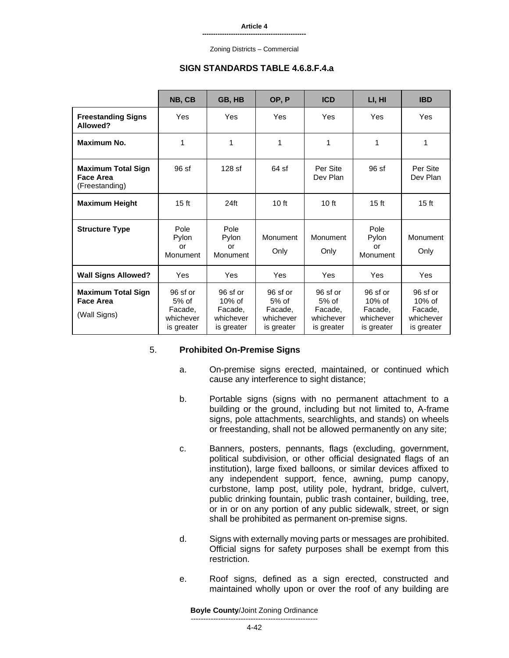Zoning Districts – Commercial

#### **SIGN STANDARDS TABLE 4.6.8.F.4.a**

|                                                               | NB, CB                                                    | GB, HB                                                      | OP, P                                                     | <b>ICD</b>                                                  | LI, HI                                                      | <b>IBD</b>                                                  |
|---------------------------------------------------------------|-----------------------------------------------------------|-------------------------------------------------------------|-----------------------------------------------------------|-------------------------------------------------------------|-------------------------------------------------------------|-------------------------------------------------------------|
| <b>Freestanding Signs</b><br>Allowed?                         | Yes                                                       | Yes                                                         | Yes                                                       | Yes                                                         | Yes                                                         | Yes                                                         |
| Maximum No.                                                   | 1                                                         | 1                                                           | 1                                                         | 1                                                           | 1                                                           | 1                                                           |
| <b>Maximum Total Sign</b><br>Face Area<br>(Freestanding)      | 96sf                                                      | $128$ sf                                                    | 64 sf                                                     | Per Site<br>Dev Plan                                        | 96 sf                                                       | Per Site<br>Dev Plan                                        |
| <b>Maximum Height</b>                                         | 15 <sub>ft</sub>                                          | 24 <sub>ft</sub>                                            | 10 <sub>ft</sub>                                          | 10 <sub>ft</sub>                                            | 15 <sub>ft</sub>                                            | 15 <sub>ft</sub>                                            |
| <b>Structure Type</b>                                         | Pole<br>Pylon<br>or<br>Monument                           | Pole<br>Pylon<br>or<br>Monument                             | Monument<br>Only                                          | Monument<br>Only                                            | Pole<br>Pylon<br>or<br>Monument                             | Monument<br>Only                                            |
| <b>Wall Signs Allowed?</b>                                    | Yes                                                       | Yes                                                         | Yes                                                       | Yes                                                         | Yes                                                         | Yes                                                         |
| <b>Maximum Total Sign</b><br><b>Face Area</b><br>(Wall Signs) | 96 sf or<br>$5%$ of<br>Facade,<br>whichever<br>is greater | 96 sf or<br>$10\%$ of<br>Facade,<br>whichever<br>is greater | 96 sf or<br>$5%$ of<br>Facade,<br>whichever<br>is greater | $96$ sf or<br>$5%$ of<br>Facade,<br>whichever<br>is greater | 96 sf or<br>$10\%$ of<br>Facade,<br>whichever<br>is greater | 96 sf or<br>$10\%$ of<br>Facade,<br>whichever<br>is greater |

#### 5. **Prohibited On-Premise Signs**

- a. On-premise signs erected, maintained, or continued which cause any interference to sight distance;
- b. Portable signs (signs with no permanent attachment to a building or the ground, including but not limited to, A-frame signs, pole attachments, searchlights, and stands) on wheels or freestanding, shall not be allowed permanently on any site;
- c. Banners, posters, pennants, flags (excluding, government, political subdivision, or other official designated flags of an institution), large fixed balloons, or similar devices affixed to any independent support, fence, awning, pump canopy, curbstone, lamp post, utility pole, hydrant, bridge, culvert, public drinking fountain, public trash container, building, tree, or in or on any portion of any public sidewalk, street, or sign shall be prohibited as permanent on-premise signs.
- d. Signs with externally moving parts or messages are prohibited. Official signs for safety purposes shall be exempt from this restriction.
- e. Roof signs, defined as a sign erected, constructed and maintained wholly upon or over the roof of any building are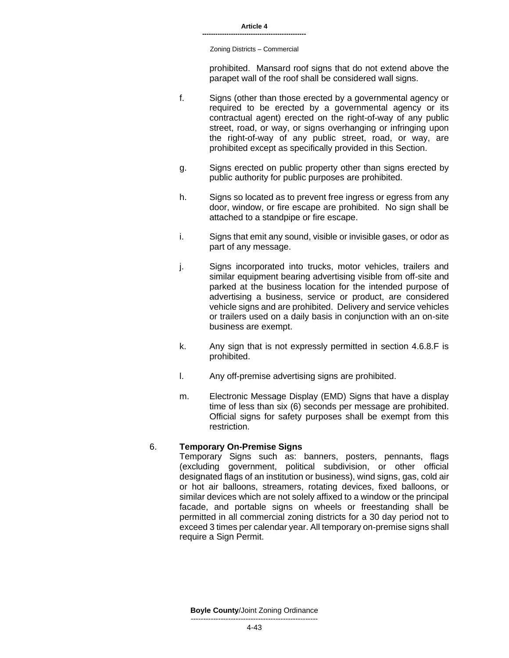Zoning Districts – Commercial

prohibited. Mansard roof signs that do not extend above the parapet wall of the roof shall be considered wall signs.

- f. Signs (other than those erected by a governmental agency or required to be erected by a governmental agency or its contractual agent) erected on the right-of-way of any public street, road, or way, or signs overhanging or infringing upon the right-of-way of any public street, road, or way, are prohibited except as specifically provided in this Section.
- g. Signs erected on public property other than signs erected by public authority for public purposes are prohibited.
- h. Signs so located as to prevent free ingress or egress from any door, window, or fire escape are prohibited. No sign shall be attached to a standpipe or fire escape.
- i. Signs that emit any sound, visible or invisible gases, or odor as part of any message.
- j. Signs incorporated into trucks, motor vehicles, trailers and similar equipment bearing advertising visible from off-site and parked at the business location for the intended purpose of advertising a business, service or product, are considered vehicle signs and are prohibited. Delivery and service vehicles or trailers used on a daily basis in conjunction with an on-site business are exempt.
- k. Any sign that is not expressly permitted in section 4.6.8.F is prohibited.
- l. Any off-premise advertising signs are prohibited.
- m. Electronic Message Display (EMD) Signs that have a display time of less than six (6) seconds per message are prohibited. Official signs for safety purposes shall be exempt from this restriction.

# 6. **Temporary On-Premise Signs**

Temporary Signs such as: banners, posters, pennants, flags (excluding government, political subdivision, or other official designated flags of an institution or business), wind signs, gas, cold air or hot air balloons, streamers, rotating devices, fixed balloons, or similar devices which are not solely affixed to a window or the principal facade, and portable signs on wheels or freestanding shall be permitted in all commercial zoning districts for a 30 day period not to exceed 3 times per calendar year. All temporary on-premise signs shall require a Sign Permit.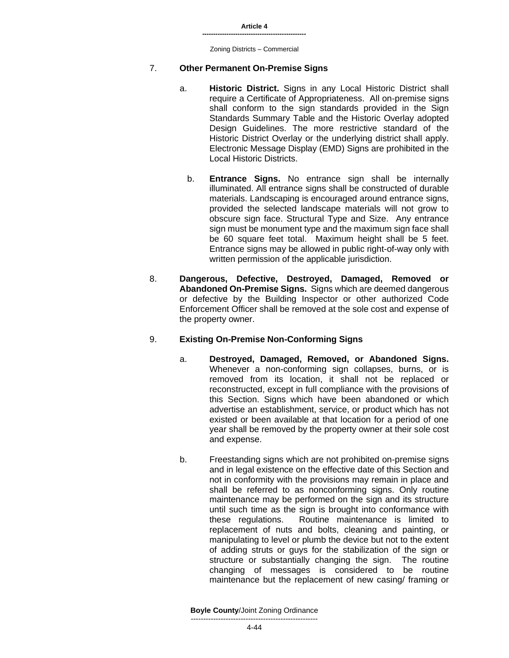#### 7. **Other Permanent On-Premise Signs**

- a. **Historic District.** Signs in any Local Historic District shall require a Certificate of Appropriateness. All on-premise signs shall conform to the sign standards provided in the Sign Standards Summary Table and the Historic Overlay adopted Design Guidelines. The more restrictive standard of the Historic District Overlay or the underlying district shall apply. Electronic Message Display (EMD) Signs are prohibited in the Local Historic Districts.
	- b. **Entrance Signs.** No entrance sign shall be internally illuminated. All entrance signs shall be constructed of durable materials. Landscaping is encouraged around entrance signs, provided the selected landscape materials will not grow to obscure sign face. Structural Type and Size. Any entrance sign must be monument type and the maximum sign face shall be 60 square feet total. Maximum height shall be 5 feet. Entrance signs may be allowed in public right-of-way only with written permission of the applicable jurisdiction.
- 8. **Dangerous, Defective, Destroyed, Damaged, Removed or Abandoned On-Premise Signs.** Signs which are deemed dangerous or defective by the Building Inspector or other authorized Code Enforcement Officer shall be removed at the sole cost and expense of the property owner.

#### 9. **Existing On-Premise Non-Conforming Signs**

- a. **Destroyed, Damaged, Removed, or Abandoned Signs.**  Whenever a non-conforming sign collapses, burns, or is removed from its location, it shall not be replaced or reconstructed, except in full compliance with the provisions of this Section. Signs which have been abandoned or which advertise an establishment, service, or product which has not existed or been available at that location for a period of one year shall be removed by the property owner at their sole cost and expense.
- b. Freestanding signs which are not prohibited on-premise signs and in legal existence on the effective date of this Section and not in conformity with the provisions may remain in place and shall be referred to as nonconforming signs. Only routine maintenance may be performed on the sign and its structure until such time as the sign is brought into conformance with these regulations. Routine maintenance is limited to replacement of nuts and bolts, cleaning and painting, or manipulating to level or plumb the device but not to the extent of adding struts or guys for the stabilization of the sign or structure or substantially changing the sign. The routine changing of messages is considered to be routine maintenance but the replacement of new casing/ framing or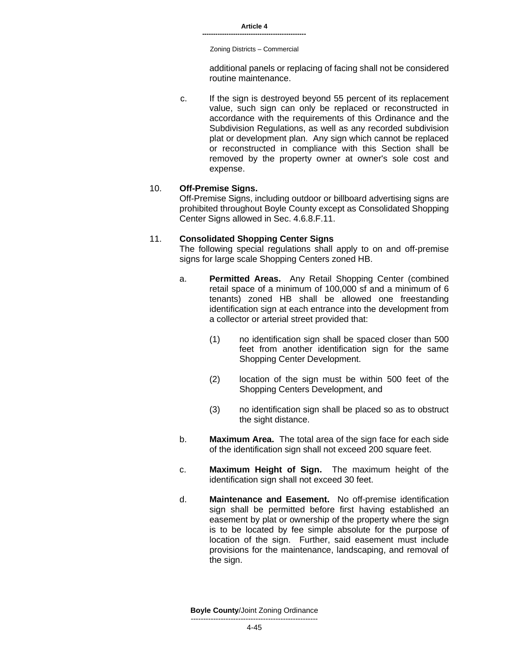Zoning Districts – Commercial

additional panels or replacing of facing shall not be considered routine maintenance.

c. If the sign is destroyed beyond 55 percent of its replacement value, such sign can only be replaced or reconstructed in accordance with the requirements of this Ordinance and the Subdivision Regulations, as well as any recorded subdivision plat or development plan. Any sign which cannot be replaced or reconstructed in compliance with this Section shall be removed by the property owner at owner's sole cost and expense.

#### 10. **Off-Premise Signs.**

Off-Premise Signs, including outdoor or billboard advertising signs are prohibited throughout Boyle County except as Consolidated Shopping Center Signs allowed in Sec. 4.6.8.F.11.

#### 11. **Consolidated Shopping Center Signs**

The following special regulations shall apply to on and off-premise signs for large scale Shopping Centers zoned HB.

- a. **Permitted Areas.** Any Retail Shopping Center (combined retail space of a minimum of 100,000 sf and a minimum of 6 tenants) zoned HB shall be allowed one freestanding identification sign at each entrance into the development from a collector or arterial street provided that:
	- (1) no identification sign shall be spaced closer than 500 feet from another identification sign for the same Shopping Center Development.
	- (2) location of the sign must be within 500 feet of the Shopping Centers Development, and
	- (3) no identification sign shall be placed so as to obstruct the sight distance.
- b. **Maximum Area.** The total area of the sign face for each side of the identification sign shall not exceed 200 square feet.
- c. **Maximum Height of Sign.** The maximum height of the identification sign shall not exceed 30 feet.
- d. **Maintenance and Easement.** No off-premise identification sign shall be permitted before first having established an easement by plat or ownership of the property where the sign is to be located by fee simple absolute for the purpose of location of the sign. Further, said easement must include provisions for the maintenance, landscaping, and removal of the sign.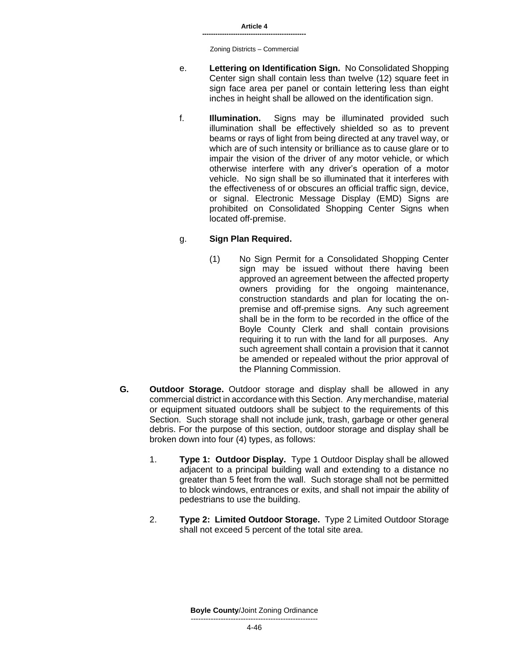- e. **Lettering on Identification Sign.** No Consolidated Shopping Center sign shall contain less than twelve (12) square feet in sign face area per panel or contain lettering less than eight inches in height shall be allowed on the identification sign.
- f. **Illumination.** Signs may be illuminated provided such illumination shall be effectively shielded so as to prevent beams or rays of light from being directed at any travel way, or which are of such intensity or brilliance as to cause glare or to impair the vision of the driver of any motor vehicle, or which otherwise interfere with any driver's operation of a motor vehicle. No sign shall be so illuminated that it interferes with the effectiveness of or obscures an official traffic sign, device, or signal. Electronic Message Display (EMD) Signs are prohibited on Consolidated Shopping Center Signs when located off-premise.

# g. **Sign Plan Required.**

- (1) No Sign Permit for a Consolidated Shopping Center sign may be issued without there having been approved an agreement between the affected property owners providing for the ongoing maintenance, construction standards and plan for locating the onpremise and off-premise signs. Any such agreement shall be in the form to be recorded in the office of the Boyle County Clerk and shall contain provisions requiring it to run with the land for all purposes. Any such agreement shall contain a provision that it cannot be amended or repealed without the prior approval of the Planning Commission.
- **G. Outdoor Storage.** Outdoor storage and display shall be allowed in any commercial district in accordance with this Section. Any merchandise, material or equipment situated outdoors shall be subject to the requirements of this Section. Such storage shall not include junk, trash, garbage or other general debris. For the purpose of this section, outdoor storage and display shall be broken down into four (4) types, as follows:
	- 1. **Type 1: Outdoor Display.** Type 1 Outdoor Display shall be allowed adjacent to a principal building wall and extending to a distance no greater than 5 feet from the wall. Such storage shall not be permitted to block windows, entrances or exits, and shall not impair the ability of pedestrians to use the building.
	- 2. **Type 2: Limited Outdoor Storage.** Type 2 Limited Outdoor Storage shall not exceed 5 percent of the total site area.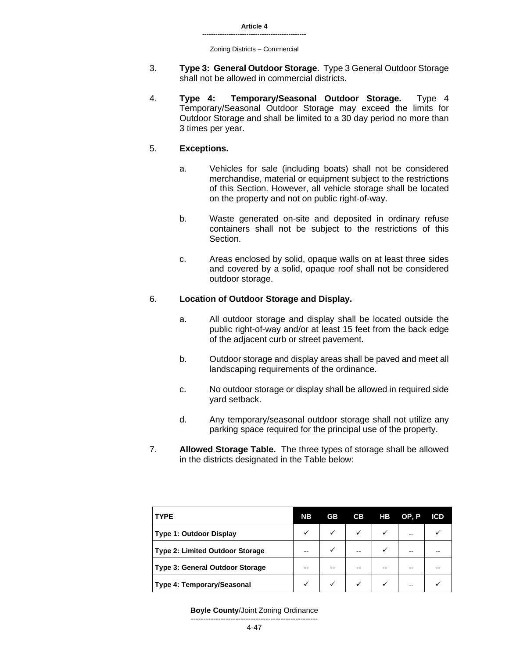- 3. **Type 3: General Outdoor Storage.** Type 3 General Outdoor Storage shall not be allowed in commercial districts.
- 4. **Type 4: Temporary/Seasonal Outdoor Storage.** Type 4 Temporary/Seasonal Outdoor Storage may exceed the limits for Outdoor Storage and shall be limited to a 30 day period no more than 3 times per year.

### 5. **Exceptions.**

- a. Vehicles for sale (including boats) shall not be considered merchandise, material or equipment subject to the restrictions of this Section. However, all vehicle storage shall be located on the property and not on public right-of-way.
- b. Waste generated on-site and deposited in ordinary refuse containers shall not be subject to the restrictions of this Section.
- c. Areas enclosed by solid, opaque walls on at least three sides and covered by a solid, opaque roof shall not be considered outdoor storage.

#### 6. **Location of Outdoor Storage and Display.**

- a. All outdoor storage and display shall be located outside the public right-of-way and/or at least 15 feet from the back edge of the adjacent curb or street pavement.
- b. Outdoor storage and display areas shall be paved and meet all landscaping requirements of the ordinance.
- c. No outdoor storage or display shall be allowed in required side yard setback.
- d. Any temporary/seasonal outdoor storage shall not utilize any parking space required for the principal use of the property.
- 7. **Allowed Storage Table.** The three types of storage shall be allowed in the districts designated in the Table below:

| <b>TYPE</b>                            | <b>NB</b>    | <b>GB</b> | СB                                                  | HB | OP, P                    | <b>ICD</b> |
|----------------------------------------|--------------|-----------|-----------------------------------------------------|----|--------------------------|------------|
| <b>Type 1: Outdoor Display</b>         |              |           | $\sim$ $\sim$                                       |    | $\sim$                   |            |
| <b>Type 2: Limited Outdoor Storage</b> |              |           |                                                     |    |                          |            |
| <b>Type 3: General Outdoor Storage</b> | $- -$        |           |                                                     |    |                          |            |
| Type 4: Temporary/Seasonal             | $\checkmark$ |           | $\checkmark$ $\checkmark$ $\checkmark$ $\checkmark$ |    | $\overline{\phantom{a}}$ |            |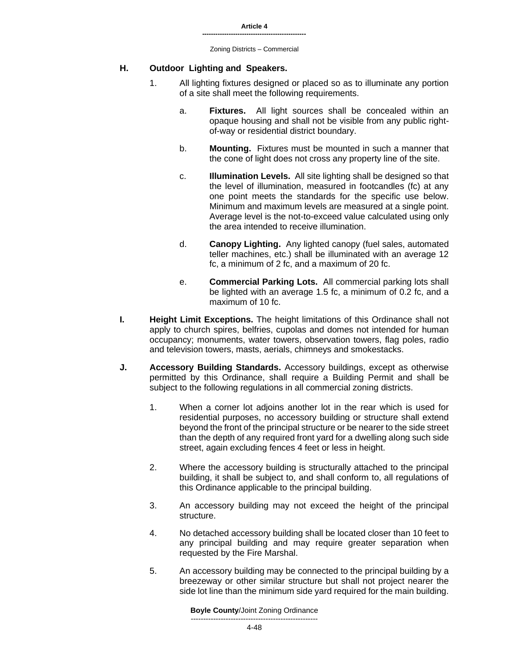### **H. Outdoor Lighting and Speakers.**

- 1. All lighting fixtures designed or placed so as to illuminate any portion of a site shall meet the following requirements.
	- a. **Fixtures.** All light sources shall be concealed within an opaque housing and shall not be visible from any public rightof-way or residential district boundary.
	- b. **Mounting.** Fixtures must be mounted in such a manner that the cone of light does not cross any property line of the site.
	- c. **Illumination Levels.** All site lighting shall be designed so that the level of illumination, measured in footcandles (fc) at any one point meets the standards for the specific use below. Minimum and maximum levels are measured at a single point. Average level is the not-to-exceed value calculated using only the area intended to receive illumination.
	- d. **Canopy Lighting.** Any lighted canopy (fuel sales, automated teller machines, etc.) shall be illuminated with an average 12 fc, a minimum of 2 fc, and a maximum of 20 fc.
	- e. **Commercial Parking Lots.** All commercial parking lots shall be lighted with an average 1.5 fc, a minimum of 0.2 fc, and a maximum of 10 fc.
- **I. Height Limit Exceptions.** The height limitations of this Ordinance shall not apply to church spires, belfries, cupolas and domes not intended for human occupancy; monuments, water towers, observation towers, flag poles, radio and television towers, masts, aerials, chimneys and smokestacks.
- **J. Accessory Building Standards.** Accessory buildings, except as otherwise permitted by this Ordinance, shall require a Building Permit and shall be subject to the following regulations in all commercial zoning districts.
	- 1. When a corner lot adjoins another lot in the rear which is used for residential purposes, no accessory building or structure shall extend beyond the front of the principal structure or be nearer to the side street than the depth of any required front yard for a dwelling along such side street, again excluding fences 4 feet or less in height.
	- 2. Where the accessory building is structurally attached to the principal building, it shall be subject to, and shall conform to, all regulations of this Ordinance applicable to the principal building.
	- 3. An accessory building may not exceed the height of the principal structure.
	- 4. No detached accessory building shall be located closer than 10 feet to any principal building and may require greater separation when requested by the Fire Marshal.
	- 5. An accessory building may be connected to the principal building by a breezeway or other similar structure but shall not project nearer the side lot line than the minimum side yard required for the main building.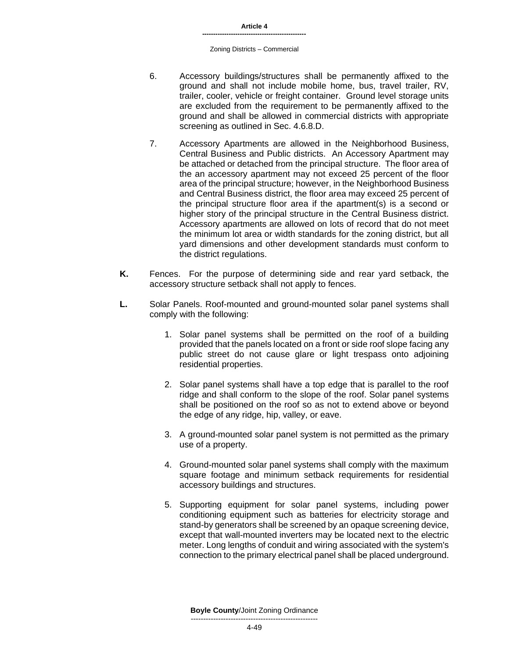- 6. Accessory buildings/structures shall be permanently affixed to the ground and shall not include mobile home, bus, travel trailer, RV, trailer, cooler, vehicle or freight container. Ground level storage units are excluded from the requirement to be permanently affixed to the ground and shall be allowed in commercial districts with appropriate screening as outlined in Sec. 4.6.8.D.
- 7. Accessory Apartments are allowed in the Neighborhood Business, Central Business and Public districts. An Accessory Apartment may be attached or detached from the principal structure. The floor area of the an accessory apartment may not exceed 25 percent of the floor area of the principal structure; however, in the Neighborhood Business and Central Business district, the floor area may exceed 25 percent of the principal structure floor area if the apartment(s) is a second or higher story of the principal structure in the Central Business district. Accessory apartments are allowed on lots of record that do not meet the minimum lot area or width standards for the zoning district, but all yard dimensions and other development standards must conform to the district regulations.
- **K.** Fences. For the purpose of determining side and rear yard setback, the accessory structure setback shall not apply to fences.
- **L.** Solar Panels. Roof-mounted and ground-mounted solar panel systems shall comply with the following:
	- 1. Solar panel systems shall be permitted on the roof of a building provided that the panels located on a front or side roof slope facing any public street do not cause glare or light trespass onto adjoining residential properties.
	- 2. Solar panel systems shall have a top edge that is parallel to the roof ridge and shall conform to the slope of the roof. Solar panel systems shall be positioned on the roof so as not to extend above or beyond the edge of any ridge, hip, valley, or eave.
	- 3. A ground-mounted solar panel system is not permitted as the primary use of a property.
	- 4. Ground-mounted solar panel systems shall comply with the maximum square footage and minimum setback requirements for residential accessory buildings and structures.
	- 5. Supporting equipment for solar panel systems, including power conditioning equipment such as batteries for electricity storage and stand-by generators shall be screened by an opaque screening device, except that wall-mounted inverters may be located next to the electric meter. Long lengths of conduit and wiring associated with the system's connection to the primary electrical panel shall be placed underground.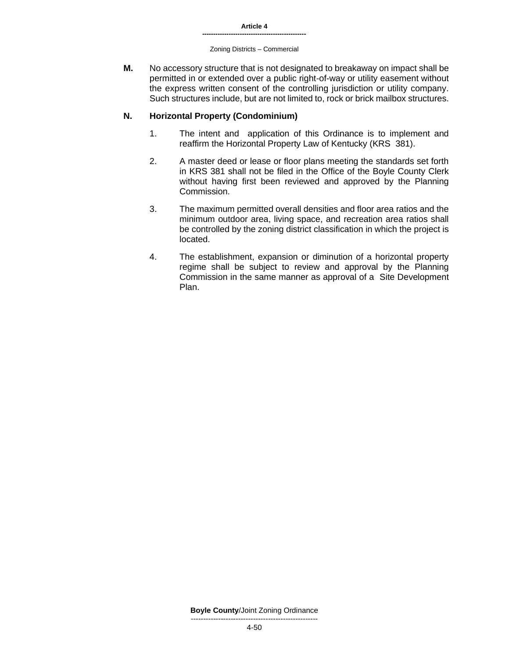#### Zoning Districts – Commercial

**M.** No accessory structure that is not designated to breakaway on impact shall be permitted in or extended over a public right-of-way or utility easement without the express written consent of the controlling jurisdiction or utility company. Such structures include, but are not limited to, rock or brick mailbox structures.

# **N. Horizontal Property (Condominium)**

- 1. The intent and application of this Ordinance is to implement and reaffirm the Horizontal Property Law of Kentucky (KRS 381).
- 2. A master deed or lease or floor plans meeting the standards set forth in KRS 381 shall not be filed in the Office of the Boyle County Clerk without having first been reviewed and approved by the Planning Commission.
- 3. The maximum permitted overall densities and floor area ratios and the minimum outdoor area, living space, and recreation area ratios shall be controlled by the zoning district classification in which the project is located.
- 4. The establishment, expansion or diminution of a horizontal property regime shall be subject to review and approval by the Planning Commission in the same manner as approval of a Site Development Plan.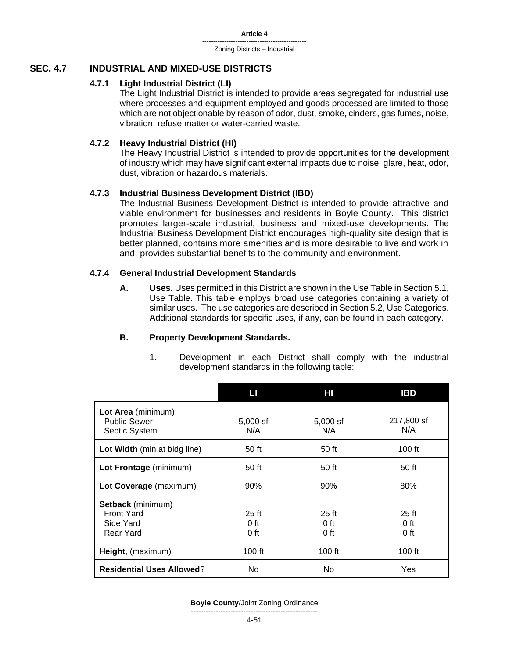# **SEC. 4.7 INDUSTRIAL AND MIXED-USE DISTRICTS**

# **4.7.1 Light Industrial District (LI)**

The Light Industrial District is intended to provide areas segregated for industrial use where processes and equipment employed and goods processed are limited to those which are not objectionable by reason of odor, dust, smoke, cinders, gas fumes, noise, vibration, refuse matter or water-carried waste.

# **4.7.2 Heavy Industrial District (HI)**

The Heavy Industrial District is intended to provide opportunities for the development of industry which may have significant external impacts due to noise, glare, heat, odor, dust, vibration or hazardous materials.

# **4.7.3 Industrial Business Development District (IBD)**

The Industrial Business Development District is intended to provide attractive and viable environment for businesses and residents in Boyle County. This district promotes larger-scale industrial, business and mixed-use developments. The Industrial Business Development District encourages high-quality site design that is better planned, contains more amenities and is more desirable to live and work in and, provides substantial benefits to the community and environment.

# **4.7.4 General Industrial Development Standards**

**A. Uses.** Uses permitted in this District are shown in the Use Table in Section 5.1, Use Table. This table employs broad use categories containing a variety of similar uses. The use categories are described in Section 5.2, Use Categories. Additional standards for specific uses, if any, can be found in each category.

# **B. Property Development Standards.**

1. Development in each District shall comply with the industrial development standards in the following table:

|                                                                  | Ш                           | HI                          | <b>IBD</b>                  |
|------------------------------------------------------------------|-----------------------------|-----------------------------|-----------------------------|
| Lot Area (minimum)<br><b>Public Sewer</b><br>Septic System       | $5,000$ sf<br>N/A           | $5,000$ sf<br>N/A           | 217,800 sf<br>N/A           |
| Lot Width (min at bldg line)                                     | 50 ft                       | 50 ft                       | 100 $ft$                    |
| Lot Frontage (minimum)                                           | 50 ft                       | 50 ft                       | 50 ft                       |
| Lot Coverage (maximum)                                           | 90%                         | 90%                         | 80%                         |
| Setback (minimum)<br><b>Front Yard</b><br>Side Yard<br>Rear Yard | $25$ ft<br>$0$ ft<br>$0$ ft | $25$ ft<br>$0$ ft<br>$0$ ft | $25$ ft<br>$0$ ft<br>$0$ ft |
| Height, (maximum)                                                | $100$ ft                    | $100$ ft                    | $100$ ft                    |
| <b>Residential Uses Allowed?</b>                                 | No.                         | No.                         | <b>Yes</b>                  |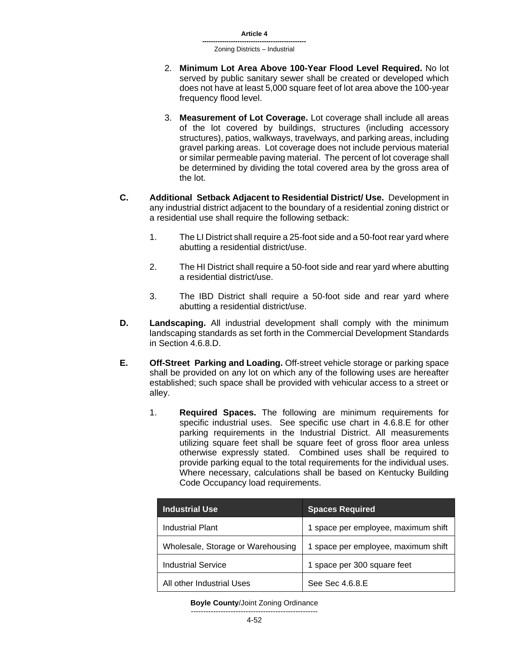- 2. **Minimum Lot Area Above 100-Year Flood Level Required.** No lot served by public sanitary sewer shall be created or developed which does not have at least 5,000 square feet of lot area above the 100-year frequency flood level.
- 3. **Measurement of Lot Coverage.** Lot coverage shall include all areas of the lot covered by buildings, structures (including accessory structures), patios, walkways, travelways, and parking areas, including gravel parking areas. Lot coverage does not include pervious material or similar permeable paving material. The percent of lot coverage shall be determined by dividing the total covered area by the gross area of the lot.
- **C. Additional Setback Adjacent to Residential District/ Use.** Development in any industrial district adjacent to the boundary of a residential zoning district or a residential use shall require the following setback:
	- 1. The LI District shall require a 25-foot side and a 50-foot rear yard where abutting a residential district/use.
	- 2. The HI District shall require a 50-foot side and rear yard where abutting a residential district/use.
	- 3. The IBD District shall require a 50-foot side and rear yard where abutting a residential district/use.
- **D. Landscaping.** All industrial development shall comply with the minimum landscaping standards as set forth in the Commercial Development Standards in Section 4.6.8.D.
- **E. Off-Street Parking and Loading.** Off-street vehicle storage or parking space shall be provided on any lot on which any of the following uses are hereafter established; such space shall be provided with vehicular access to a street or alley.
	- 1. **Required Spaces.** The following are minimum requirements for specific industrial uses. See specific use chart in 4.6.8.E for other parking requirements in the Industrial District. All measurements utilizing square feet shall be square feet of gross floor area unless otherwise expressly stated. Combined uses shall be required to provide parking equal to the total requirements for the individual uses. Where necessary, calculations shall be based on Kentucky Building Code Occupancy load requirements.

| <b>Industrial Use</b>             | <b>Spaces Required</b>              |
|-----------------------------------|-------------------------------------|
| Industrial Plant                  | 1 space per employee, maximum shift |
| Wholesale, Storage or Warehousing | 1 space per employee, maximum shift |
| <b>Industrial Service</b>         | 1 space per 300 square feet         |
| All other Industrial Uses         | See Sec 4.6.8.E                     |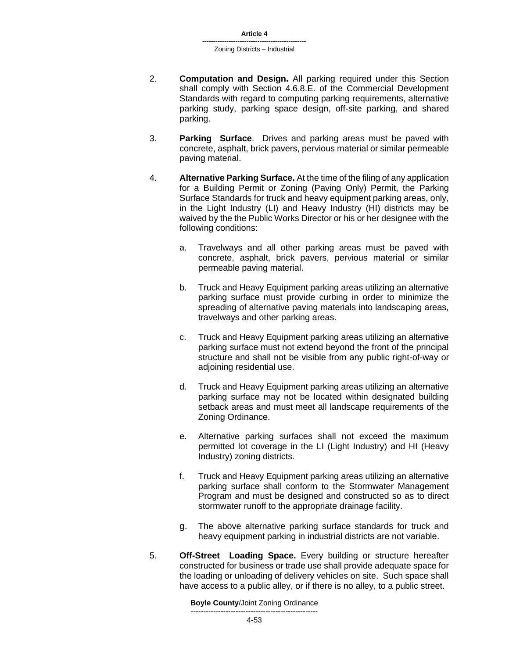- 2. **Computation and Design.** All parking required under this Section shall comply with Section 4.6.8.E. of the Commercial Development Standards with regard to computing parking requirements, alternative parking study, parking space design, off-site parking, and shared parking.
- 3. **Parking Surface**. Drives and parking areas must be paved with concrete, asphalt, brick pavers, pervious material or similar permeable paving material.
- 4. **Alternative Parking Surface.** At the time of the filing of any application for a Building Permit or Zoning (Paving Only) Permit, the Parking Surface Standards for truck and heavy equipment parking areas, only, in the Light Industry (LI) and Heavy Industry (HI) districts may be waived by the the Public Works Director or his or her designee with the following conditions:
	- a. Travelways and all other parking areas must be paved with concrete, asphalt, brick pavers, pervious material or similar permeable paving material.
	- b. Truck and Heavy Equipment parking areas utilizing an alternative parking surface must provide curbing in order to minimize the spreading of alternative paving materials into landscaping areas, travelways and other parking areas.
	- c. Truck and Heavy Equipment parking areas utilizing an alternative parking surface must not extend beyond the front of the principal structure and shall not be visible from any public right-of-way or adjoining residential use.
	- d. Truck and Heavy Equipment parking areas utilizing an alternative parking surface may not be located within designated building setback areas and must meet all landscape requirements of the Zoning Ordinance.
	- e. Alternative parking surfaces shall not exceed the maximum permitted lot coverage in the LI (Light Industry) and HI (Heavy Industry) zoning districts.
	- f. Truck and Heavy Equipment parking areas utilizing an alternative parking surface shall conform to the Stormwater Management Program and must be designed and constructed so as to direct stormwater runoff to the appropriate drainage facility.
	- g. The above alternative parking surface standards for truck and heavy equipment parking in industrial districts are not variable.
- 5. **Off-Street Loading Space.** Every building or structure hereafter constructed for business or trade use shall provide adequate space for the loading or unloading of delivery vehicles on site. Such space shall have access to a public alley, or if there is no alley, to a public street.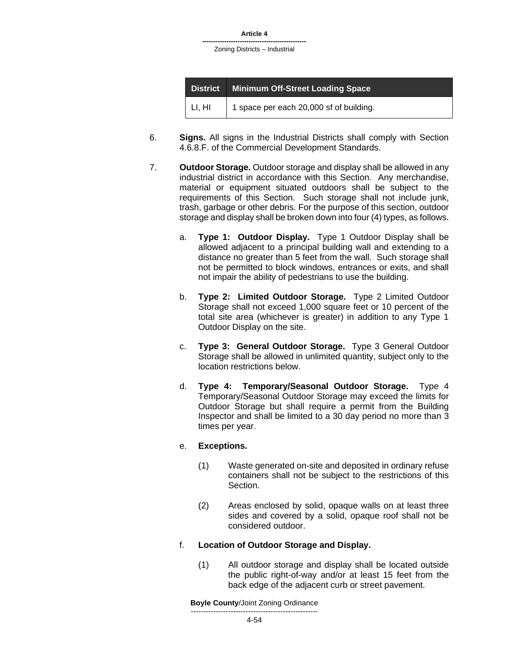| <b>District</b> | <b>Minimum Off-Street Loading Space</b> |
|-----------------|-----------------------------------------|
| LI, HI          | 1 space per each 20,000 sf of building. |

- 6. **Signs.** All signs in the Industrial Districts shall comply with Section 4.6.8.F. of the Commercial Development Standards.
- 7. **Outdoor Storage.** Outdoor storage and display shall be allowed in any industrial district in accordance with this Section. Any merchandise, material or equipment situated outdoors shall be subject to the requirements of this Section. Such storage shall not include junk, trash, garbage or other debris. For the purpose of this section, outdoor storage and display shall be broken down into four (4) types, as follows.
	- a. **Type 1: Outdoor Display.** Type 1 Outdoor Display shall be allowed adjacent to a principal building wall and extending to a distance no greater than 5 feet from the wall. Such storage shall not be permitted to block windows, entrances or exits, and shall not impair the ability of pedestrians to use the building.
	- b. **Type 2: Limited Outdoor Storage.** Type 2 Limited Outdoor Storage shall not exceed 1,000 square feet or 10 percent of the total site area (whichever is greater) in addition to any Type 1 Outdoor Display on the site.
	- c. **Type 3: General Outdoor Storage.** Type 3 General Outdoor Storage shall be allowed in unlimited quantity, subject only to the location restrictions below.
	- d. **Type 4: Temporary/Seasonal Outdoor Storage.** Type 4 Temporary/Seasonal Outdoor Storage may exceed the limits for Outdoor Storage but shall require a permit from the Building Inspector and shall be limited to a 30 day period no more than 3 times per year.

# e. **Exceptions.**

- (1) Waste generated on-site and deposited in ordinary refuse containers shall not be subject to the restrictions of this Section.
- (2) Areas enclosed by solid, opaque walls on at least three sides and covered by a solid, opaque roof shall not be considered outdoor.

# f. **Location of Outdoor Storage and Display.**

(1) All outdoor storage and display shall be located outside the public right-of-way and/or at least 15 feet from the back edge of the adjacent curb or street pavement.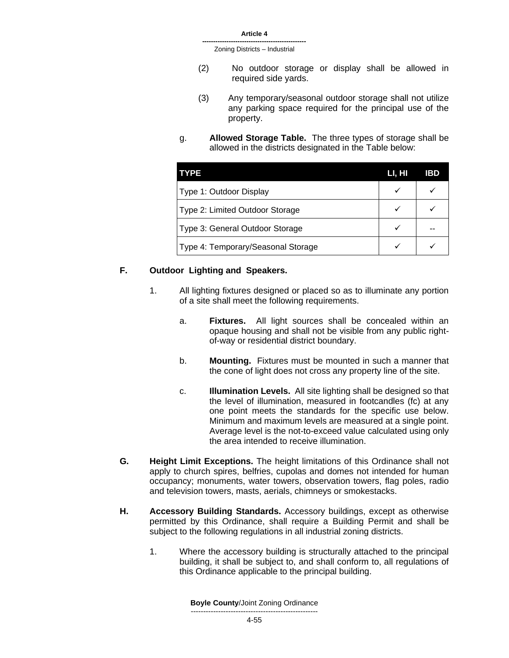- (2) No outdoor storage or display shall be allowed in required side yards.
- (3) Any temporary/seasonal outdoor storage shall not utilize any parking space required for the principal use of the property.
- g. **Allowed Storage Table.** The three types of storage shall be allowed in the districts designated in the Table below:

| <b>TYPE</b>                        | LI, HI | IBD |
|------------------------------------|--------|-----|
| Type 1: Outdoor Display            |        |     |
| Type 2: Limited Outdoor Storage    |        |     |
| Type 3: General Outdoor Storage    |        |     |
| Type 4: Temporary/Seasonal Storage |        |     |

# **F. Outdoor Lighting and Speakers.**

- 1. All lighting fixtures designed or placed so as to illuminate any portion of a site shall meet the following requirements.
	- a. **Fixtures.** All light sources shall be concealed within an opaque housing and shall not be visible from any public rightof-way or residential district boundary.
	- b. **Mounting.** Fixtures must be mounted in such a manner that the cone of light does not cross any property line of the site.
	- c. **Illumination Levels.** All site lighting shall be designed so that the level of illumination, measured in footcandles (fc) at any one point meets the standards for the specific use below. Minimum and maximum levels are measured at a single point. Average level is the not-to-exceed value calculated using only the area intended to receive illumination.
- **G. Height Limit Exceptions.** The height limitations of this Ordinance shall not apply to church spires, belfries, cupolas and domes not intended for human occupancy; monuments, water towers, observation towers, flag poles, radio and television towers, masts, aerials, chimneys or smokestacks.
- **H. Accessory Building Standards.** Accessory buildings, except as otherwise permitted by this Ordinance, shall require a Building Permit and shall be subject to the following regulations in all industrial zoning districts.
	- 1. Where the accessory building is structurally attached to the principal building, it shall be subject to, and shall conform to, all regulations of this Ordinance applicable to the principal building.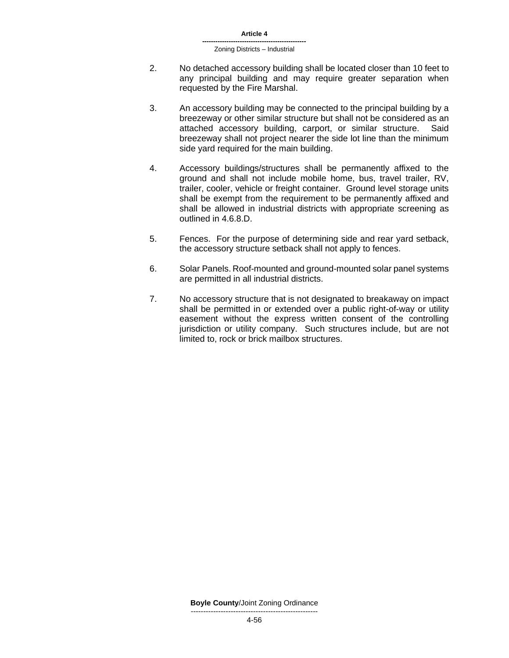- 2. No detached accessory building shall be located closer than 10 feet to any principal building and may require greater separation when requested by the Fire Marshal.
- 3. An accessory building may be connected to the principal building by a breezeway or other similar structure but shall not be considered as an attached accessory building, carport, or similar structure. Said breezeway shall not project nearer the side lot line than the minimum side yard required for the main building.
- 4. Accessory buildings/structures shall be permanently affixed to the ground and shall not include mobile home, bus, travel trailer, RV, trailer, cooler, vehicle or freight container. Ground level storage units shall be exempt from the requirement to be permanently affixed and shall be allowed in industrial districts with appropriate screening as outlined in 4.6.8.D.
- 5. Fences. For the purpose of determining side and rear yard setback, the accessory structure setback shall not apply to fences.
- 6. Solar Panels. Roof-mounted and ground-mounted solar panel systems are permitted in all industrial districts.
- 7. No accessory structure that is not designated to breakaway on impact shall be permitted in or extended over a public right-of-way or utility easement without the express written consent of the controlling jurisdiction or utility company. Such structures include, but are not limited to, rock or brick mailbox structures.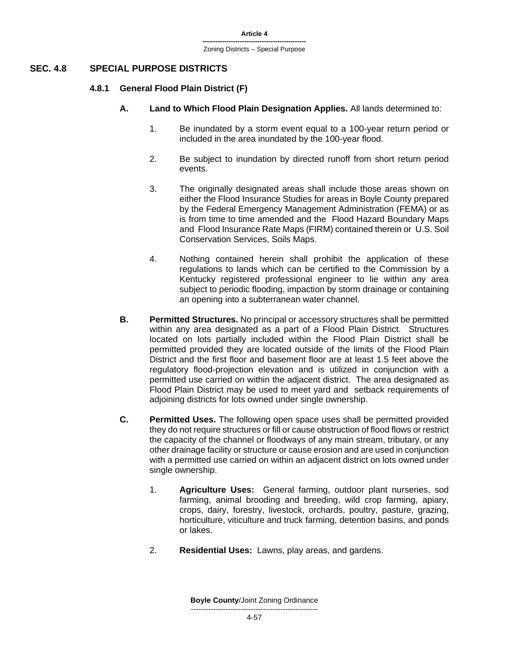# **SEC. 4.8 SPECIAL PURPOSE DISTRICTS**

### **4.8.1 General Flood Plain District (F)**

- **A. Land to Which Flood Plain Designation Applies.** All lands determined to:
	- 1. Be inundated by a storm event equal to a 100-year return period or included in the area inundated by the 100-year flood.
	- 2. Be subject to inundation by directed runoff from short return period events.
	- 3. The originally designated areas shall include those areas shown on either the Flood Insurance Studies for areas in Boyle County prepared by the Federal Emergency Management Administration (FEMA) or as is from time to time amended and the Flood Hazard Boundary Maps and Flood Insurance Rate Maps (FIRM) contained therein or U.S. Soil Conservation Services, Soils Maps.
	- 4. Nothing contained herein shall prohibit the application of these regulations to lands which can be certified to the Commission by a Kentucky registered professional engineer to lie within any area subject to periodic flooding, impaction by storm drainage or containing an opening into a subterranean water channel.
- **B. Permitted Structures.** No principal or accessory structures shall be permitted within any area designated as a part of a Flood Plain District. Structures located on lots partially included within the Flood Plain District shall be permitted provided they are located outside of the limits of the Flood Plain District and the first floor and basement floor are at least 1.5 feet above the regulatory flood-projection elevation and is utilized in conjunction with a permitted use carried on within the adjacent district. The area designated as Flood Plain District may be used to meet yard and setback requirements of adjoining districts for lots owned under single ownership.
- **C. Permitted Uses.** The following open space uses shall be permitted provided they do not require structures or fill or cause obstruction of flood flows or restrict the capacity of the channel or floodways of any main stream, tributary, or any other drainage facility or structure or cause erosion and are used in conjunction with a permitted use carried on within an adjacent district on lots owned under single ownership.
	- 1. **Agriculture Uses:** General farming, outdoor plant nurseries, sod farming, animal brooding and breeding, wild crop farming, apiary, crops, dairy, forestry, livestock, orchards, poultry, pasture, grazing, horticulture, viticulture and truck farming, detention basins, and ponds or lakes.
	- 2. **Residential Uses:** Lawns, play areas, and gardens.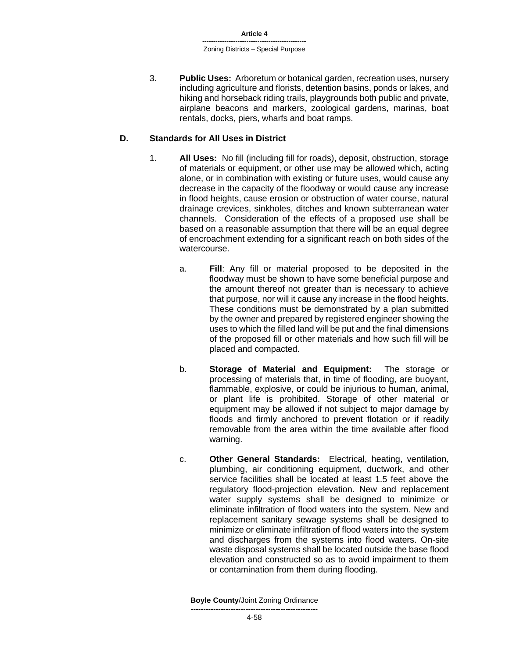**-----------------------------------------------** Zoning Districts – Special Purpose

3. **Public Uses:** Arboretum or botanical garden, recreation uses, nursery including agriculture and florists, detention basins, ponds or lakes, and hiking and horseback riding trails, playgrounds both public and private, airplane beacons and markers, zoological gardens, marinas, boat rentals, docks, piers, wharfs and boat ramps.

### **D. Standards for All Uses in District**

- 1. **All Uses:** No fill (including fill for roads), deposit, obstruction, storage of materials or equipment, or other use may be allowed which, acting alone, or in combination with existing or future uses, would cause any decrease in the capacity of the floodway or would cause any increase in flood heights, cause erosion or obstruction of water course, natural drainage crevices, sinkholes, ditches and known subterranean water channels. Consideration of the effects of a proposed use shall be based on a reasonable assumption that there will be an equal degree of encroachment extending for a significant reach on both sides of the watercourse.
	- a. **Fill**: Any fill or material proposed to be deposited in the floodway must be shown to have some beneficial purpose and the amount thereof not greater than is necessary to achieve that purpose, nor will it cause any increase in the flood heights. These conditions must be demonstrated by a plan submitted by the owner and prepared by registered engineer showing the uses to which the filled land will be put and the final dimensions of the proposed fill or other materials and how such fill will be placed and compacted.
	- b. **Storage of Material and Equipment:** The storage or processing of materials that, in time of flooding, are buoyant, flammable, explosive, or could be injurious to human, animal, or plant life is prohibited. Storage of other material or equipment may be allowed if not subject to major damage by floods and firmly anchored to prevent flotation or if readily removable from the area within the time available after flood warning.
	- c. **Other General Standards:** Electrical, heating, ventilation, plumbing, air conditioning equipment, ductwork, and other service facilities shall be located at least 1.5 feet above the regulatory flood-projection elevation. New and replacement water supply systems shall be designed to minimize or eliminate infiltration of flood waters into the system. New and replacement sanitary sewage systems shall be designed to minimize or eliminate infiltration of flood waters into the system and discharges from the systems into flood waters. On-site waste disposal systems shall be located outside the base flood elevation and constructed so as to avoid impairment to them or contamination from them during flooding.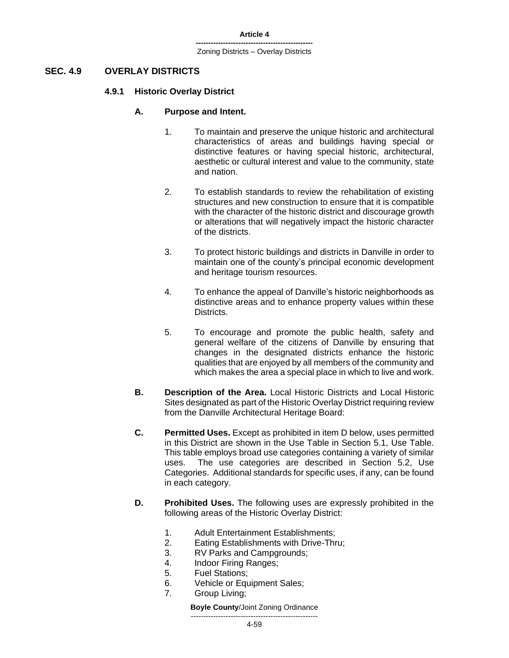# **SEC. 4.9 OVERLAY DISTRICTS**

#### **4.9.1 Historic Overlay District**

#### **A. Purpose and Intent.**

- 1. To maintain and preserve the unique historic and architectural characteristics of areas and buildings having special or distinctive features or having special historic, architectural, aesthetic or cultural interest and value to the community, state and nation.
- 2. To establish standards to review the rehabilitation of existing structures and new construction to ensure that it is compatible with the character of the historic district and discourage growth or alterations that will negatively impact the historic character of the districts.
- 3. To protect historic buildings and districts in Danville in order to maintain one of the county's principal economic development and heritage tourism resources.
- 4. To enhance the appeal of Danville's historic neighborhoods as distinctive areas and to enhance property values within these Districts.
- 5. To encourage and promote the public health, safety and general welfare of the citizens of Danville by ensuring that changes in the designated districts enhance the historic qualities that are enjoyed by all members of the community and which makes the area a special place in which to live and work.
- **B. Description of the Area.** Local Historic Districts and Local Historic Sites designated as part of the Historic Overlay District requiring review from the Danville Architectural Heritage Board:
- **C. Permitted Uses.** Except as prohibited in item D below, uses permitted in this District are shown in the Use Table in Section 5.1, Use Table. This table employs broad use categories containing a variety of similar uses. The use categories are described in Section 5.2, Use Categories. Additional standards for specific uses, if any, can be found in each category.
- **D. Prohibited Uses.** The following uses are expressly prohibited in the following areas of the Historic Overlay District:
	- 1. Adult Entertainment Establishments;
	- 2. Eating Establishments with Drive-Thru;
	- 3. RV Parks and Campgrounds;
	- 4. Indoor Firing Ranges;
	- 5. Fuel Stations;
	- 6. Vehicle or Equipment Sales;
	- 7. Group Living;